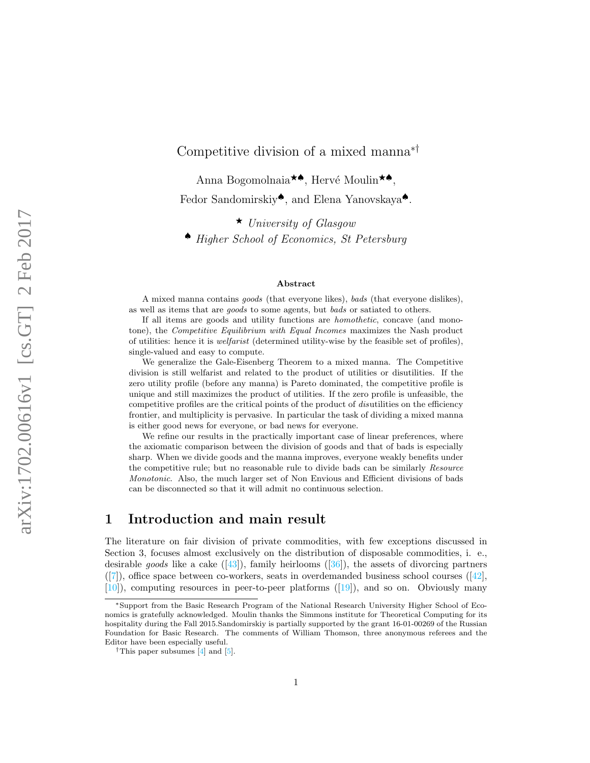# Competitive division of a mixed manna∗†

Anna Bogomolnaia<sup>★▲</sup>, Hervé Moulin<sup>★▲</sup>. Fedor Sandomirskiy♠, and Elena Yanovskaya♠.

 $\star$  University of Glasgow ♠ Higher School of Economics, St Petersburg

#### Abstract

A mixed manna contains goods (that everyone likes), bads (that everyone dislikes), as well as items that are goods to some agents, but bads or satiated to others.

If all items are goods and utility functions are homothetic, concave (and monotone), the Competitive Equilibrium with Equal Incomes maximizes the Nash product of utilities: hence it is welfarist (determined utility-wise by the feasible set of profiles), single-valued and easy to compute.

We generalize the Gale-Eisenberg Theorem to a mixed manna. The Competitive division is still welfarist and related to the product of utilities or disutilities. If the zero utility profile (before any manna) is Pareto dominated, the competitive profile is unique and still maximizes the product of utilities. If the zero profile is unfeasible, the competitive profiles are the critical points of the product of *disutilities* on the efficiency frontier, and multiplicity is pervasive. In particular the task of dividing a mixed manna is either good news for everyone, or bad news for everyone.

We refine our results in the practically important case of linear preferences, where the axiomatic comparison between the division of goods and that of bads is especially sharp. When we divide goods and the manna improves, everyone weakly benefits under the competitive rule; but no reasonable rule to divide bads can be similarly *Resource* Monotonic. Also, the much larger set of Non Envious and Efficient divisions of bads can be disconnected so that it will admit no continuous selection.

## 1 Introduction and main result

The literature on fair division of private commodities, with few exceptions discussed in Section 3, focuses almost exclusively on the distribution of disposable commodities, i. e., desirablegoods like a cake  $([43])$  $([43])$  $([43])$ , family heirlooms  $([36])$  $([36])$  $([36])$ , the assets of divorcing partners  $([7])$  $([7])$  $([7])$ ,office space between co-workers, seats in overdemanded business school courses  $([42]$  $([42]$ , [\[10\]](#page-30-0)), computing resources in peer-to-peer platforms([\[19\]](#page-30-1)), and so on. Obviously many

<sup>∗</sup>Support from the Basic Research Program of the National Research University Higher School of Economics is gratefully acknowledged. Moulin thanks the Simmons institute for Theoretical Computing for its hospitality during the Fall 2015.Sandomirskiy is partially supported by the grant 16-01-00269 of the Russian Foundation for Basic Research. The comments of William Thomson, three anonymous referees and the Editor have been especially useful.

<sup>&</sup>lt;sup>†</sup>This paper subsumes  $\boxed{4}$  and  $\boxed{5}$ .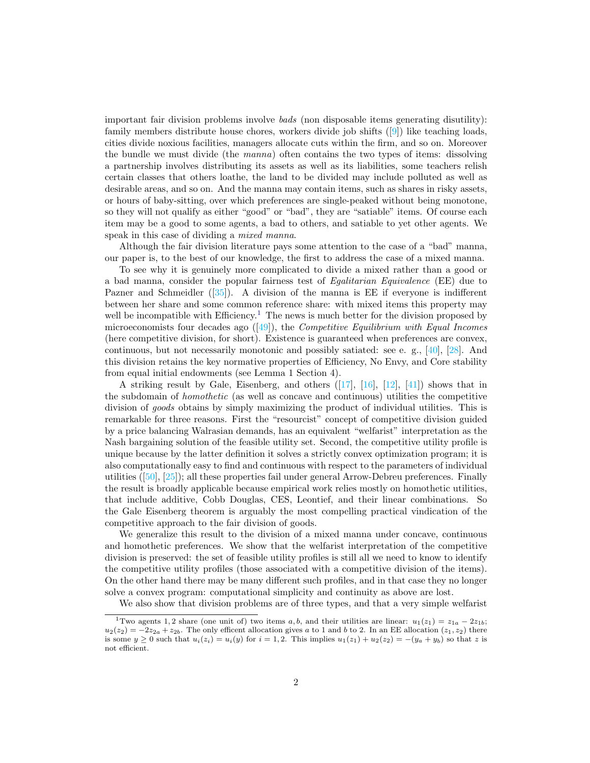important fair division problems involve bads (non disposable items generating disutility): family members distribute house chores, workers divide job shifts([\[9\]](#page-30-2)) like teaching loads, cities divide noxious facilities, managers allocate cuts within the firm, and so on. Moreover the bundle we must divide (the manna) often contains the two types of items: dissolving a partnership involves distributing its assets as well as its liabilities, some teachers relish certain classes that others loathe, the land to be divided may include polluted as well as desirable areas, and so on. And the manna may contain items, such as shares in risky assets, or hours of baby-sitting, over which preferences are single-peaked without being monotone, so they will not qualify as either "good" or "bad", they are "satiable" items. Of course each item may be a good to some agents, a bad to others, and satiable to yet other agents. We speak in this case of dividing a *mixed manna*.

Although the fair division literature pays some attention to the case of a "bad" manna, our paper is, to the best of our knowledge, the first to address the case of a mixed manna.

To see why it is genuinely more complicated to divide a mixed rather than a good or a bad manna, consider the popular fairness test of Egalitarian Equivalence (EE) due to Pazner and Schmeidler([\[35\]](#page-31-1)). A division of the manna is EE if everyone is indifferent between her share and some common reference share: with mixed items this property may well be incompatible with Efficiency.<sup>[1](#page-1-0)</sup> The news is much better for the division proposed by microeconomistsfour decades ago  $(14)$ , the *Competitive Equilibrium with Equal Incomes* (here competitive division, for short). Existence is guaranteed when preferences are convex, continuous, but not necessarily monotonic and possibly satiated: see e. g., [\[40\]](#page-31-2), [\[28\]](#page-31-3). And this division retains the key normative properties of Efficiency, No Envy, and Core stability from equal initial endowments (see Lemma 1 Section 4).

Astriking result by Gale, Eisenberg, and others  $([17], [16], [12], [41])$  $([17], [16], [12], [41])$  $([17], [16], [12], [41])$  $([17], [16], [12], [41])$  $([17], [16], [12], [41])$  $([17], [16], [12], [41])$  $([17], [16], [12], [41])$  $([17], [16], [12], [41])$  $([17], [16], [12], [41])$  shows that in the subdomain of homothetic (as well as concave and continuous) utilities the competitive division of goods obtains by simply maximizing the product of individual utilities. This is remarkable for three reasons. First the "resourcist" concept of competitive division guided by a price balancing Walrasian demands, has an equivalent "welfarist" interpretation as the Nash bargaining solution of the feasible utility set. Second, the competitive utility profile is unique because by the latter definition it solves a strictly convex optimization program; it is also computationally easy to find and continuous with respect to the parameters of individual utilities([\[50\]](#page-32-4), [\[25\]](#page-31-4)); all these properties fail under general Arrow-Debreu preferences. Finally the result is broadly applicable because empirical work relies mostly on homothetic utilities, that include additive, Cobb Douglas, CES, Leontief, and their linear combinations. So the Gale Eisenberg theorem is arguably the most compelling practical vindication of the competitive approach to the fair division of goods.

We generalize this result to the division of a mixed manna under concave, continuous and homothetic preferences. We show that the welfarist interpretation of the competitive division is preserved: the set of feasible utility profiles is still all we need to know to identify the competitive utility profiles (those associated with a competitive division of the items). On the other hand there may be many different such profiles, and in that case they no longer solve a convex program: computational simplicity and continuity as above are lost.

<span id="page-1-0"></span>We also show that division problems are of three types, and that a very simple welfarist

<sup>&</sup>lt;sup>1</sup>Two agents 1, 2 share (one unit of) two items a, b, and their utilities are linear:  $u_1(z_1) = z_{1a} - 2z_{1b}$ ;  $u_2(z_2) = -2z_{2a} + z_{2b}$ . The only efficent allocation gives a to 1 and b to 2. In an EE allocation  $(z_1, z_2)$  there is some  $y \ge 0$  such that  $u_i(z_i) = u_i(y)$  for  $i = 1, 2$ . This implies  $u_1(z_1) + u_2(z_2) = -(y_a + y_b)$  so that z is not efficient.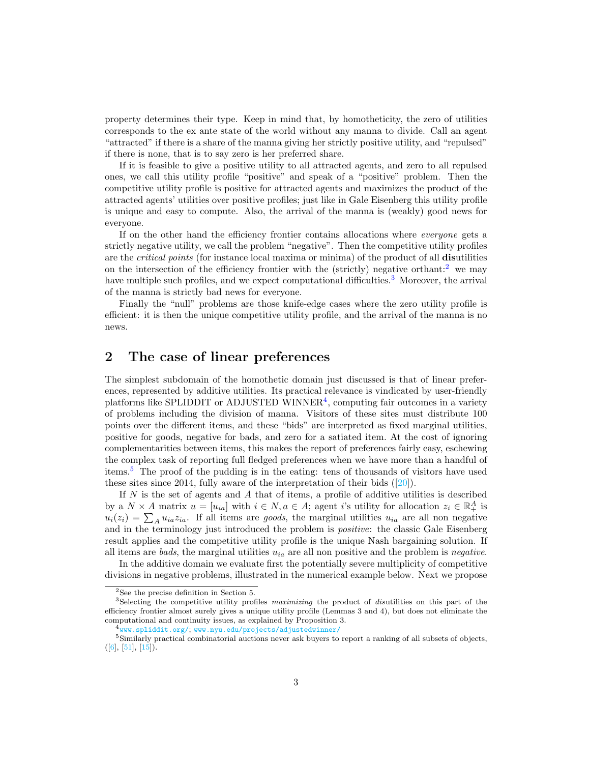property determines their type. Keep in mind that, by homotheticity, the zero of utilities corresponds to the ex ante state of the world without any manna to divide. Call an agent "attracted" if there is a share of the manna giving her strictly positive utility, and "repulsed" if there is none, that is to say zero is her preferred share.

If it is feasible to give a positive utility to all attracted agents, and zero to all repulsed ones, we call this utility profile "positive" and speak of a "positive" problem. Then the competitive utility profile is positive for attracted agents and maximizes the product of the attracted agents' utilities over positive profiles; just like in Gale Eisenberg this utility profile is unique and easy to compute. Also, the arrival of the manna is (weakly) good news for everyone.

If on the other hand the efficiency frontier contains allocations where everyone gets a strictly negative utility, we call the problem "negative". Then the competitive utility profiles are the critical points (for instance local maxima or minima) of the product of all disutilities on the intersection of the efficiency frontier with the (strictly) negative orthant:<sup>[2](#page-2-0)</sup> we may have multiple such profiles, and we expect computational difficulties.<sup>[3](#page-2-1)</sup> Moreover, the arrival of the manna is strictly bad news for everyone.

Finally the "null" problems are those knife-edge cases where the zero utility profile is efficient: it is then the unique competitive utility profile, and the arrival of the manna is no news.

## 2 The case of linear preferences

The simplest subdomain of the homothetic domain just discussed is that of linear preferences, represented by additive utilities. Its practical relevance is vindicated by user-friendly platforms like SPLIDDIT or ADJUSTED WINNER<sup>[4](#page-2-2)</sup>, computing fair outcomes in a variety of problems including the division of manna. Visitors of these sites must distribute 100 points over the different items, and these "bids" are interpreted as fixed marginal utilities, positive for goods, negative for bads, and zero for a satiated item. At the cost of ignoring complementarities between items, this makes the report of preferences fairly easy, eschewing the complex task of reporting full fledged preferences when we have more than a handful of items.[5](#page-2-3) The proof of the pudding is in the eating: tens of thousands of visitors have used thesesites since 2014, fully aware of the interpretation of their bids  $([20])$  $([20])$  $([20])$ .

If  $N$  is the set of agents and  $A$  that of items, a profile of additive utilities is described by a  $N \times A$  matrix  $u = [u_{ia}]$  with  $i \in N, a \in A$ ; agent i's utility for allocation  $z_i \in \mathbb{R}_+^A$  is  $u_i(z_i) = \sum_A u_{ia} z_{ia}$ . If all items are goods, the marginal utilities  $u_{ia}$  are all non negative and in the terminology just introduced the problem is *positive*: the classic Gale Eisenberg result applies and the competitive utility profile is the unique Nash bargaining solution. If all items are bads, the marginal utilities  $u_{ia}$  are all non positive and the problem is negative.

In the additive domain we evaluate first the potentially severe multiplicity of competitive divisions in negative problems, illustrated in the numerical example below. Next we propose

<span id="page-2-1"></span><span id="page-2-0"></span><sup>2</sup>See the precise definition in Section 5.

<sup>&</sup>lt;sup>3</sup>Selecting the competitive utility profiles maximizing the product of disutilities on this part of the efficiency frontier almost surely gives a unique utility profile (Lemmas 3 and 4), but does not eliminate the computational and continuity issues, as explained by Proposition 3.

<span id="page-2-3"></span><span id="page-2-2"></span> $^4$ <www.spliddit.org/>; <www.nyu.edu/projects/adjustedwinner/>

<sup>&</sup>lt;sup>5</sup>Similarly practical combinatorial auctions never ask buyers to report a ranking of all subsets of objects,  $([6], [51], [15]).$  $([6], [51], [15]).$  $([6], [51], [15]).$  $([6], [51], [15]).$  $([6], [51], [15]).$  $([6], [51], [15]).$  $([6], [51], [15]).$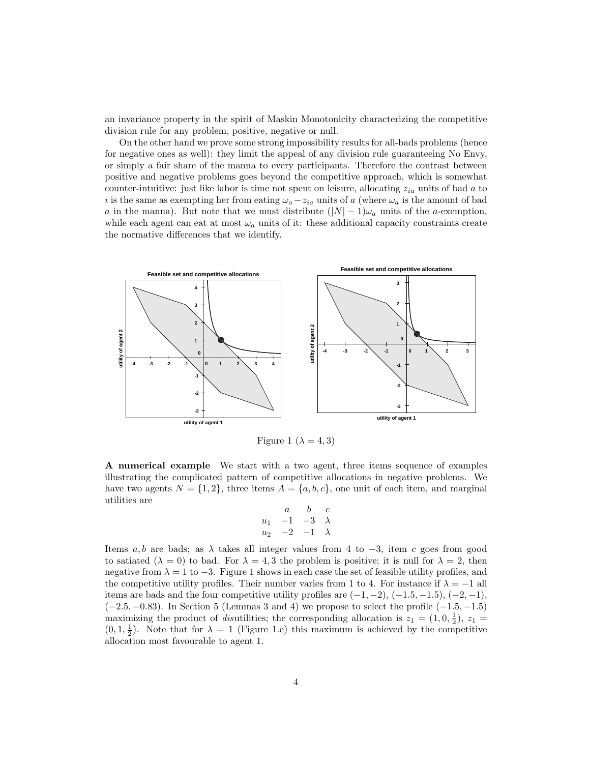an invariance property in the spirit of Maskin Monotonicity characterizing the competitive division rule for any problem, positive, negative or null.

On the other hand we prove some strong impossibility results for all-bads problems (hence for negative ones as well): they limit the appeal of any division rule guaranteeing No Envy, or simply a fair share of the manna to every participants. Therefore the contrast between positive and negative problems goes beyond the competitive approach, which is somewhat counter-intuitive: just like labor is time not spent on leisure, allocating  $z_{ia}$  units of bad a to i is the same as exempting her from eating  $\omega_a - z_{ia}$  units of a (where  $\omega_a$  is the amount of bad a in the manna). But note that we must distribute  $(|N|-1)\omega_a$  units of the a-exemption, while each agent can eat at most  $\omega_a$  units of it: these additional capacity constraints create the normative differences that we identify.



Figure 1 ( $\lambda = 4, 3$ )

A numerical example We start with a two agent, three items sequence of examples illustrating the complicated pattern of competitive allocations in negative problems. We have two agents  $N = \{1, 2\}$ , three items  $A = \{a, b, c\}$ , one unit of each item, and marginal utilities are

$$
\begin{array}{ccc}\n & a & b & c \\
u_1 & -1 & -3 & \lambda \\
u_2 & -2 & -1 & \lambda\n\end{array}
$$

Items a, b are bads; as  $\lambda$  takes all integer values from 4 to  $-3$ , item c goes from good to satiated  $(\lambda = 0)$  to bad. For  $\lambda = 4, 3$  the problem is positive; it is null for  $\lambda = 2$ , then negative from  $\lambda = 1$  to  $-3$ . Figure 1 shows in each case the set of feasible utility profiles, and the competitive utility profiles. Their number varies from 1 to 4. For instance if  $\lambda = -1$  all items are bads and the four competitive utility profiles are  $(-1, -2)$ ,  $(-1.5, -1.5)$ ,  $(-2, -1)$ ,  $(-2.5, -0.83)$ . In Section 5 (Lemmas 3 and 4) we propose to select the profile  $(-1.5, -1.5)$ maximizing the product of *disutilities*; the corresponding allocation is  $z_1 = (1, 0, \frac{1}{2}), z_1 =$  $(0, 1, \frac{1}{2})$ . Note that for  $\lambda = 1$  (Figure 1.e) this maximum is achieved by the competitive allocation most favourable to agent 1.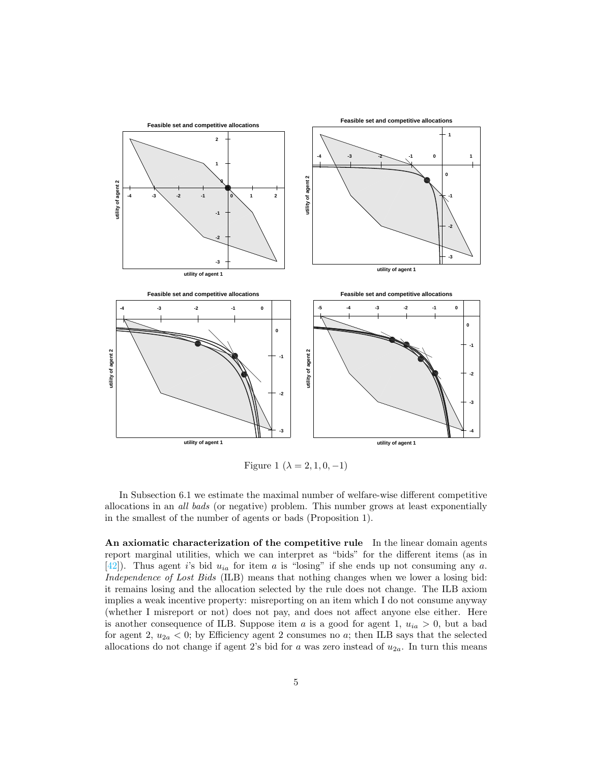

Figure 1 ( $\lambda = 2, 1, 0, -1$ )

In Subsection 6.1 we estimate the maximal number of welfare-wise different competitive allocations in an all bads (or negative) problem. This number grows at least exponentially in the smallest of the number of agents or bads (Proposition 1).

An axiomatic characterization of the competitive rule In the linear domain agents report marginal utilities, which we can interpret as "bids" for the different items (as in [\[42\]](#page-32-1)). Thus agent is bid  $u_{ia}$  for item a is "losing" if she ends up not consuming any a. Independence of Lost Bids (ILB) means that nothing changes when we lower a losing bid: it remains losing and the allocation selected by the rule does not change. The ILB axiom implies a weak incentive property: misreporting on an item which I do not consume anyway (whether I misreport or not) does not pay, and does not affect anyone else either. Here is another consequence of ILB. Suppose item a is a good for agent 1,  $u_{ia} > 0$ , but a bad for agent 2,  $u_{2a} < 0$ ; by Efficiency agent 2 consumes no a; then ILB says that the selected allocations do not change if agent 2's bid for a was zero instead of  $u_{2a}$ . In turn this means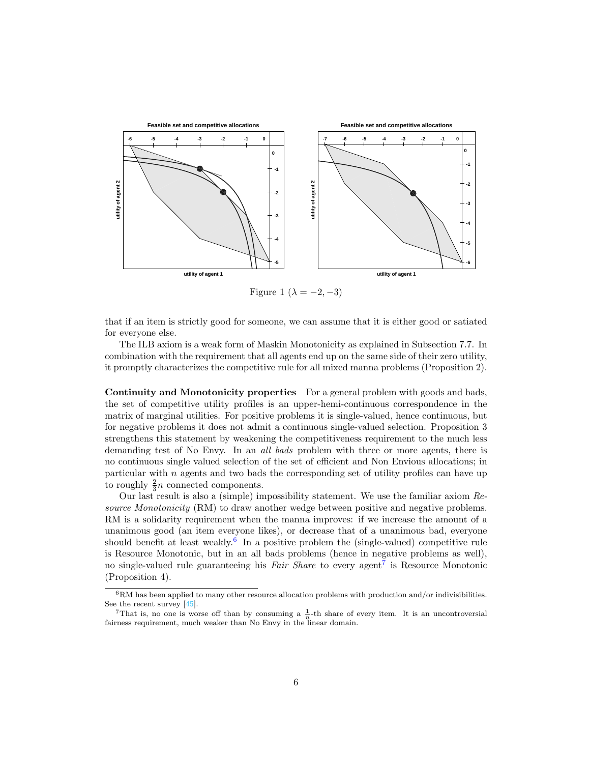

Figure 1 ( $\lambda = -2, -3$ )

that if an item is strictly good for someone, we can assume that it is either good or satiated for everyone else.

The ILB axiom is a weak form of Maskin Monotonicity as explained in Subsection 7.7. In combination with the requirement that all agents end up on the same side of their zero utility, it promptly characterizes the competitive rule for all mixed manna problems (Proposition 2).

Continuity and Monotonicity properties For a general problem with goods and bads, the set of competitive utility profiles is an upper-hemi-continuous correspondence in the matrix of marginal utilities. For positive problems it is single-valued, hence continuous, but for negative problems it does not admit a continuous single-valued selection. Proposition 3 strengthens this statement by weakening the competitiveness requirement to the much less demanding test of No Envy. In an all bads problem with three or more agents, there is no continuous single valued selection of the set of efficient and Non Envious allocations; in particular with  $n$  agents and two bads the corresponding set of utility profiles can have up to roughly  $\frac{2}{3}n$  connected components.

Our last result is also a (simple) impossibility statement. We use the familiar axiom Resource Monotonicity (RM) to draw another wedge between positive and negative problems. RM is a solidarity requirement when the manna improves: if we increase the amount of a unanimous good (an item everyone likes), or decrease that of a unanimous bad, everyone should benefit at least weakly.<sup>[6](#page-5-0)</sup> In a positive problem the (single-valued) competitive rule is Resource Monotonic, but in an all bads problems (hence in negative problems as well), no single-valued rule guaranteeing his *Fair Share* to every agent<sup>[7](#page-5-1)</sup> is Resource Monotonic (Proposition 4).

<span id="page-5-0"></span> $^6{\rm RM}$  has been applied to many other resource allocation problems with production and/or indivisibilities. See the recent survey [\[45\]](#page-32-6).

<span id="page-5-1"></span><sup>&</sup>lt;sup>7</sup>That is, no one is worse off than by consuming a  $\frac{1}{n}$ -th share of every item. It is an uncontroversial fairness requirement, much weaker than No Envy in the linear domain.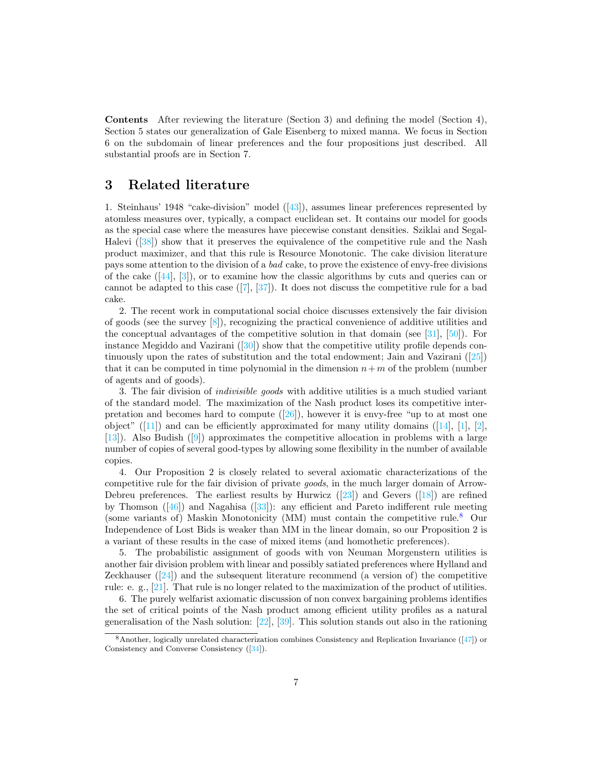Contents After reviewing the literature (Section 3) and defining the model (Section 4), Section 5 states our generalization of Gale Eisenberg to mixed manna. We focus in Section 6 on the subdomain of linear preferences and the four propositions just described. All substantial proofs are in Section 7.

## 3 Related literature

1. Steinhaus' 1948 "cake-division" model([\[43\]](#page-32-0)), assumes linear preferences represented by atomless measures over, typically, a compact euclidean set. It contains our model for goods as the special case where the measures have piecewise constant densities. Sziklai and Segal-Halevi([\[38\]](#page-31-5)) show that it preserves the equivalence of the competitive rule and the Nash product maximizer, and that this rule is Resource Monotonic. The cake division literature pays some attention to the division of a bad cake, to prove the existence of envy-free divisions ofthe cake  $([44], [3])$  $([44], [3])$  $([44], [3])$  $([44], [3])$  $([44], [3])$ , or to examine how the classic algorithms by cuts and queries can or cannotbe adapted to this case  $([7], [37])$  $([7], [37])$  $([7], [37])$  $([7], [37])$  $([7], [37])$ . It does not discuss the competitive rule for a bad cake.

2. The recent work in computational social choice discusses extensively the fair division of goods (see the survey  $[8]$ ), recognizing the practical convenience of additive utilities and the conceptual advantages of the competitive solution in that domain (see [\[31\]](#page-31-7), [\[50\]](#page-32-4)). For instanceMegiddo and Vazirani  $([30])$  $([30])$  $([30])$  show that the competitive utility profile depends continuously upon the rates of substitution and the total endowment; Jain and Vazirani([\[25\]](#page-31-4)) that it can be computed in time polynomial in the dimension  $n+m$  of the problem (number of agents and of goods).

3. The fair division of indivisible goods with additive utilities is a much studied variant of the standard model. The maximization of the Nash product loses its competitive interpretationand becomes hard to compute  $([26])$  $([26])$  $([26])$ , however it is envy-free "up to at most one object"([\[11\]](#page-30-9)) and can be efficiently approximated for many utility domains ([\[14\]](#page-30-10), [\[1\]](#page-29-5), [\[2\]](#page-29-6), [\[13\]](#page-30-11)). Also Budish([\[9\]](#page-30-2)) approximates the competitive allocation in problems with a large number of copies of several good-types by allowing some flexibility in the number of available copies.

4. Our Proposition 2 is closely related to several axiomatic characterizations of the competitive rule for the fair division of private goods, in the much larger domain of Arrow-Debreu preferences. The earliest results by Hurwicz  $(23)$  and Gevers  $(18)$  are refined byThomson  $([46])$  $([46])$  $([46])$  and Nagahisa  $([33])$  $([33])$  $([33])$ : any efficient and Pareto indifferent rule meeting (some variants of) Maskin Monotonicity (MM) must contain the competitive rule.[8](#page-6-0) Our Independence of Lost Bids is weaker than MM in the linear domain, so our Proposition 2 is a variant of these results in the case of mixed items (and homothetic preferences).

5. The probabilistic assignment of goods with von Neuman Morgenstern utilities is another fair division problem with linear and possibly satiated preferences where Hylland and Zeckhauser $(24)$  and the subsequent literature recommend (a version of) the competitive rule: e. g., [\[21\]](#page-30-15). That rule is no longer related to the maximization of the product of utilities.

6. The purely welfarist axiomatic discussion of non convex bargaining problems identifies the set of critical points of the Nash product among efficient utility profiles as a natural generalisation of the Nash solution: [\[22\]](#page-30-16), [\[39\]](#page-31-11). This solution stands out also in the rationing

<span id="page-6-0"></span><sup>8</sup>Another, logically unrelated characterization combines Consistency and Replication Invariance ([\[47\]](#page-32-9)) or Consistency and Converse Consistency ([\[34\]](#page-31-12)).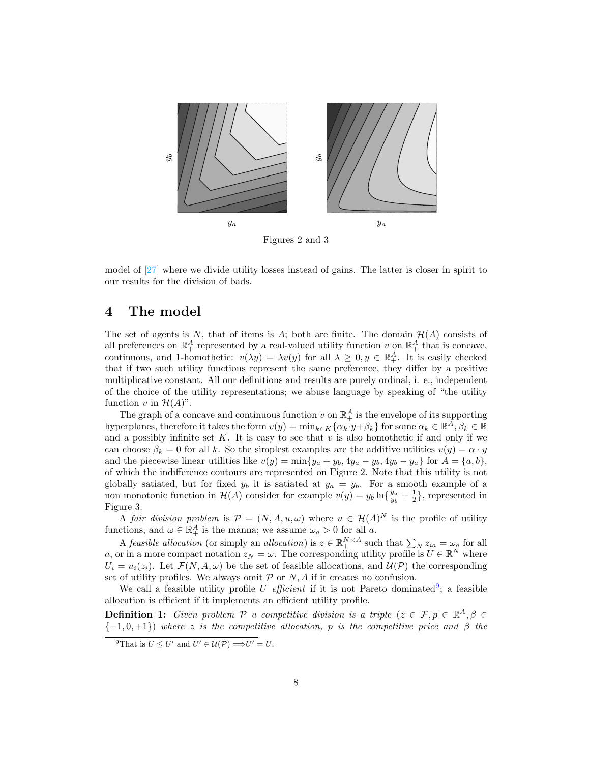

Figures 2 and 3

model of [\[27\]](#page-31-13) where we divide utility losses instead of gains. The latter is closer in spirit to our results for the division of bads.

## 4 The model

The set of agents is N, that of items is A; both are finite. The domain  $\mathcal{H}(A)$  consists of all preferences on  $\mathbb{R}^A_+$  represented by a real-valued utility function v on  $\mathbb{R}^A_+$  that is concave, continuous, and 1-homothetic:  $v(\lambda y) = \lambda v(y)$  for all  $\lambda \geq 0, y \in \mathbb{R}^A_+$ . It is easily checked that if two such utility functions represent the same preference, they differ by a positive multiplicative constant. All our definitions and results are purely ordinal, i. e., independent of the choice of the utility representations; we abuse language by speaking of "the utility function v in  $\mathcal{H}(A)$ ".

The graph of a concave and continuous function  $v$  on  $\mathbb{R}^A_+$  is the envelope of its supporting hyperplanes, therefore it takes the form  $v(y) = \min_{k \in K} \{ \alpha_k \cdot y + \beta_k \}$  for some  $\alpha_k \in \mathbb{R}^{\overline{A}}, \beta_k \in \mathbb{R}$ and a possibly infinite set  $K$ . It is easy to see that  $v$  is also homothetic if and only if we can choose  $\beta_k = 0$  for all k. So the simplest examples are the additive utilities  $v(y) = \alpha \cdot y$ and the piecewise linear utilities like  $v(y) = \min\{y_a + y_b, 4y_a - y_b, 4y_b - y_a\}$  for  $A = \{a, b\}$ , of which the indifference contours are represented on Figure 2. Note that this utility is not globally satiated, but for fixed  $y_b$  it is satiated at  $y_a = y_b$ . For a smooth example of a non monotonic function in  $\mathcal{H}(A)$  consider for example  $v(y) = y_b \ln\{\frac{y_a}{y_b} + \frac{1}{2}\}\,$  represented in Figure 3.

A fair division problem is  $\mathcal{P} = (N, A, u, \omega)$  where  $u \in \mathcal{H}(A)^N$  is the profile of utility functions, and  $\omega \in \mathbb{R}_+^A$  is the manna; we assume  $\omega_a > 0$  for all a.

A feasible allocation (or simply an allocation) is  $z \in \mathbb{R}^{N \times A}_{+}$  such that  $\sum_{N} z_{ia} = \omega_a$  for all a, or in a more compact notation  $z_N = \omega$ . The corresponding utility profile is  $U \in \mathbb{R}^N$  where  $U_i = u_i(z_i)$ . Let  $\mathcal{F}(N, A, \omega)$  be the set of feasible allocations, and  $\mathcal{U}(\mathcal{P})$  the corresponding set of utility profiles. We always omit  $P$  or  $N$ ,  $A$  if it creates no confusion.

We call a feasible utility profile U efficient if it is not Pareto dominated<sup>[9](#page-7-0)</sup>; a feasible allocation is efficient if it implements an efficient utility profile.

**Definition 1:** Given problem P a competitive division is a triple  $(z \in \mathcal{F}, p \in \mathbb{R}^A, \beta \in \mathcal{F}$  ${-1,0,+1}$ ) where z is the competitive allocation, p is the competitive price and  $\beta$  the

<span id="page-7-0"></span><sup>&</sup>lt;sup>9</sup>That is  $U \leq U'$  and  $U' \in \mathcal{U}(\mathcal{P}) \Longrightarrow U' = U$ .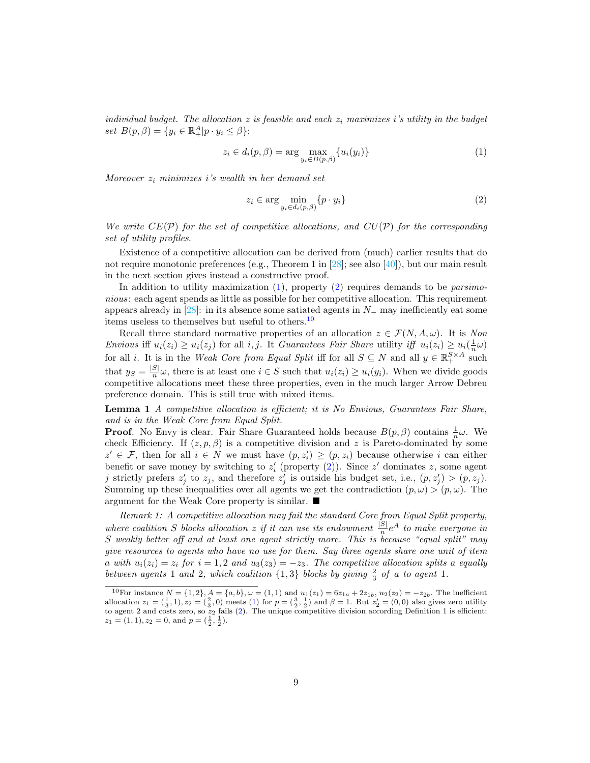individual budget. The allocation  $z$  is feasible and each  $z_i$  maximizes i's utility in the budget set  $B(p, \beta) = \{y_i \in \mathbb{R}^A_+|p \cdot y_i \leq \beta\}$ :

<span id="page-8-0"></span>
$$
z_i \in d_i(p, \beta) = \arg \max_{y_i \in B(p, \beta)} \{u_i(y_i)\}
$$
\n<sup>(1)</sup>

Moreover  $z_i$  minimizes i's wealth in her demand set

<span id="page-8-1"></span>
$$
z_i \in \arg\min_{y_i \in d_i(p,\beta)} \{p \cdot y_i\} \tag{2}
$$

We write  $CE(\mathcal{P})$  for the set of competitive allocations, and  $CU(\mathcal{P})$  for the corresponding set of utility profiles.

Existence of a competitive allocation can be derived from (much) earlier results that do not require monotonic preferences (e.g., Theorem 1 in  $[28]$ ; see also  $[40]$ ), but our main result in the next section gives instead a constructive proof.

In addition to utility maximization  $(1)$ , property  $(2)$  requires demands to be *parsimo*nious: each agent spends as little as possible for her competitive allocation. This requirement appears already in [\[28\]](#page-31-3): in its absence some satiated agents in  $N_-\,$  may inefficiently eat some items useless to themselves but useful to others.[10](#page-8-2)

Recall three standard normative properties of an allocation  $z \in \mathcal{F}(N, A, \omega)$ . It is Non Envious iff  $u_i(z_i) \ge u_i(z_j)$  for all i, j. It Guarantees Fair Share utility iff  $u_i(z_i) \ge u_i(\frac{1}{n}\omega)$ for all *i*. It is in the Weak Core from Equal Split iff for all  $S \subseteq N$  and all  $y \in \mathbb{R}^{S \times A}_{+}$  such that  $y_S = \frac{|S|}{n}$  $\frac{s_1}{n}\omega$ , there is at least one  $i \in S$  such that  $u_i(z_i) \geq u_i(y_i)$ . When we divide goods competitive allocations meet these three properties, even in the much larger Arrow Debreu preference domain. This is still true with mixed items.

Lemma 1 A competitive allocation is efficient; it is No Envious, Guarantees Fair Share, and is in the Weak Core from Equal Split.

**Proof.** No Envy is clear. Fair Share Guaranteed holds because  $B(p, \beta)$  contains  $\frac{1}{n}\omega$ . We check Efficiency. If  $(z, p, \beta)$  is a competitive division and z is Pareto-dominated by some  $z' \in \mathcal{F}$ , then for all  $i \in N$  we must have  $(p, z'_i) \geq (p, z_i)$  because otherwise i can either benefit or save money by switching to  $z'_{i}$  (property [\(2\)](#page-8-1)). Since  $z'$  dominates z, some agent j strictly prefers  $z'_j$  to  $z_j$ , and therefore  $z'_j$  is outside his budget set, i.e.,  $(p, z'_j) > (p, z_j)$ . Summing up these inequalities over all agents we get the contradiction  $(p, \omega) > (p, \omega)$ . The argument for the Weak Core property is similar.

Remark 1: A competitive allocation may fail the standard Core from Equal Split property, where coalition S blocks allocation z if it can use its endowment  $\frac{|S|}{n}e^A$  to make everyone in S weakly better off and at least one agent strictly more. This is because "equal split" may give resources to agents who have no use for them. Say three agents share one unit of item a with  $u_i(z_i) = z_i$  for  $i = 1, 2$  and  $u_3(z_3) = -z_3$ . The competitive allocation splits a equally between agents 1 and 2, which coalition  $\{1,3\}$  blocks by giving  $\frac{2}{3}$  of a to agent 1.

<span id="page-8-2"></span><sup>&</sup>lt;sup>10</sup>For instance  $N = \{1, 2\}, A = \{a, b\}, \omega = (1, 1)$  and  $u_1(z_1) = 6z_{1a} + 2z_{1b}$ ,  $u_2(z_2) = -z_{2b}$ . The inefficient allocation  $z_1 = (\frac{1}{3}, 1), z_2 = (\frac{2}{3}, 0)$  meets [\(1\)](#page-8-0) for  $p = (\frac{3}{2}, \frac{1}{2})$  and  $\beta = 1$ . But  $z_2' = (0, 0)$  also gives zero utility to agent 2 and costs zero, so  $z_2$  fails [\(2\)](#page-8-1). The unique competitive division according Definition 1 is efficient:  $z_1 = (1, 1), z_2 = 0, \text{ and } p = (\frac{1}{2}, \frac{1}{2}).$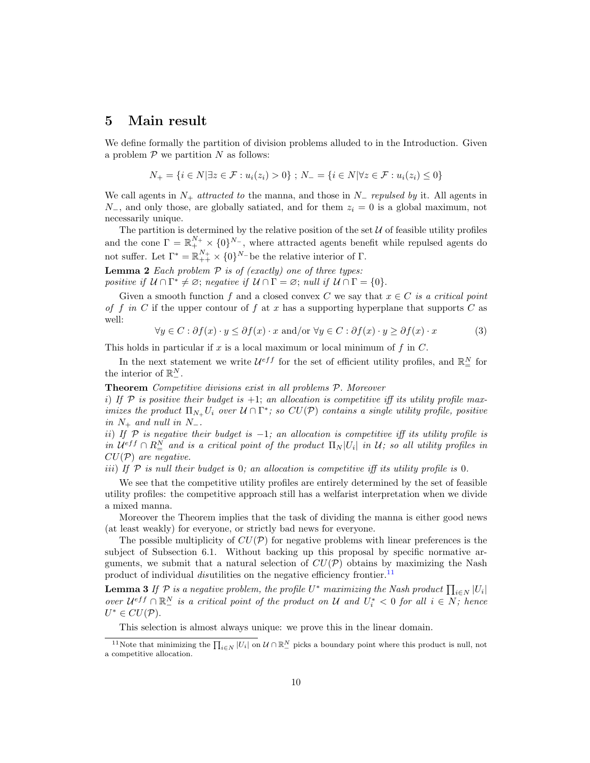## 5 Main result

We define formally the partition of division problems alluded to in the Introduction. Given a problem  $P$  we partition N as follows:

$$
N_{+} = \{i \in N | \exists z \in \mathcal{F} : u_i(z_i) > 0\} ; N_{-} = \{i \in N | \forall z \in \mathcal{F} : u_i(z_i) \le 0\}
$$

We call agents in  $N_+$  attracted to the manna, and those in  $N_-$  repulsed by it. All agents in  $N_$ , and only those, are globally satiated, and for them  $z_i = 0$  is a global maximum, not necessarily unique.

The partition is determined by the relative position of the set  $U$  of feasible utility profiles and the cone  $\Gamma = \mathbb{R}^{N_+} _+ \times \{0\}^{N_-}$ , where attracted agents benefit while repulsed agents do not suffer. Let  $\Gamma^* = \mathbb{R}_{++}^{N_+} \times \{0\}^{N_-}$  be the relative interior of  $\Gamma$ .

**Lemma 2** Each problem  $P$  is of (exactly) one of three types: positive if  $U \cap \Gamma^* \neq \emptyset$ ; negative if  $U \cap \Gamma = \emptyset$ ; null if  $U \cap \Gamma = \{0\}.$ 

Given a smooth function f and a closed convex C we say that  $x \in C$  is a critical point of f in C if the upper contour of f at x has a supporting hyperplane that supports C as well:

$$
\forall y \in C : \partial f(x) \cdot y \le \partial f(x) \cdot x \text{ and/or } \forall y \in C : \partial f(x) \cdot y \ge \partial f(x) \cdot x \tag{3}
$$

This holds in particular if  $x$  is a local maximum or local minimum of  $f$  in  $C$ .

In the next statement we write  $\mathcal{U}^{eff}$  for the set of efficient utility profiles, and  $\mathbb{R}^N_{=}$  for the interior of  $\mathbb{R}^N_-$ .

Theorem Competitive divisions exist in all problems P. Moreover

i) If  $P$  is positive their budget is  $+1$ ; an allocation is competitive iff its utility profile maximizes the product  $\Pi_{N_+} U_i$  over  $\mathcal{U} \cap \Gamma^*$ ; so  $CU(\mathcal{P})$  contains a single utility profile, positive in  $N_+$  and null in  $N_-$ .

ii) If  $\mathcal P$  is negative their budget is -1; an allocation is competitive iff its utility profile is in  $\mathcal{U}^{eff} \cap R^N_{=}$  and is a critical point of the product  $\Pi_N|U_i|$  in  $\mathcal{U}$ ; so all utility profiles in  $CU(\mathcal{P})$  are negative.

iii) If  $P$  is null their budget is 0; an allocation is competitive iff its utility profile is 0.

We see that the competitive utility profiles are entirely determined by the set of feasible utility profiles: the competitive approach still has a welfarist interpretation when we divide a mixed manna.

Moreover the Theorem implies that the task of dividing the manna is either good news (at least weakly) for everyone, or strictly bad news for everyone.

The possible multiplicity of  $CU(\mathcal{P})$  for negative problems with linear preferences is the subject of Subsection 6.1. Without backing up this proposal by specific normative arguments, we submit that a natural selection of  $CU(\mathcal{P})$  obtains by maximizing the Nash product of individual *disutilities* on the negative efficiency frontier.<sup>[11](#page-9-0)</sup>

**Lemma 3** If  $P$  is a negative problem, the profile  $U^*$  maximizing the Nash product  $\prod_{i\in N} |U_i|$ over  $U^{eff} \cap \mathbb{R}^N_-$  is a critical point of the product on U and  $U_i^* < 0$  for all  $i \in N$ ; hence  $U^* \in CU(\mathcal{P}).$ 

<span id="page-9-0"></span>This selection is almost always unique: we prove this in the linear domain.

<sup>&</sup>lt;sup>11</sup>Note that minimizing the  $\prod_{i\in N} |U_i|$  on  $\mathcal{U} \cap \mathbb{R}^N_-$  picks a boundary point where this product is null, not a competitive allocation.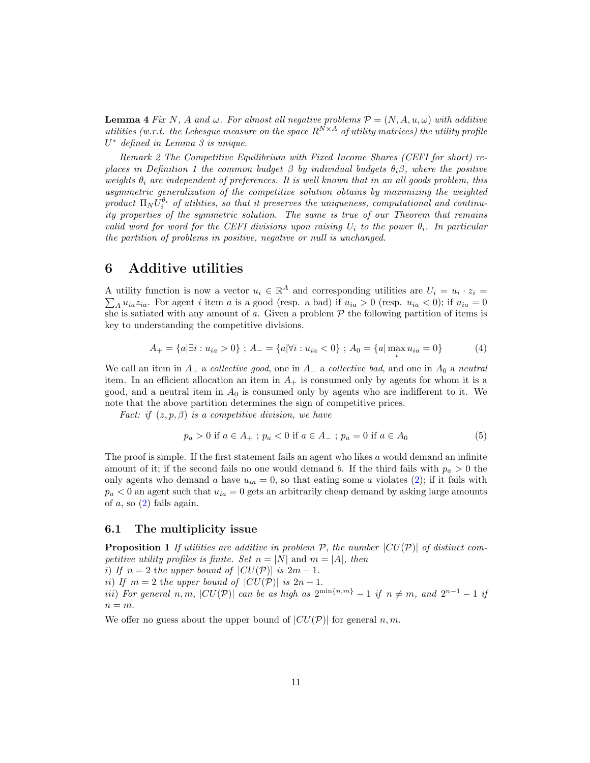**Lemma 4** Fix N, A and  $\omega$ . For almost all negative problems  $\mathcal{P} = (N, A, u, \omega)$  with additive utilities (w.r.t. the Lebesque measure on the space  $R^{N\times A}$  of utility matrices) the utility profile U <sup>∗</sup> defined in Lemma 3 is unique.

Remark 2 The Competitive Equilibrium with Fixed Income Shares (CEFI for short) replaces in Definition 1 the common budget  $\beta$  by individual budgets  $\theta_i\beta$ , where the positive weights  $\theta_i$  are independent of preferences. It is well known that in an all goods problem, this asymmetric generalization of the competitive solution obtains by maximizing the weighted product  $\Pi_N U_i^{\theta_i}$  of utilities, so that it preserves the uniqueness, computational and continuity properties of the symmetric solution. The same is true of our Theorem that remains valid word for word for the CEFI divisions upon raising  $U_i$  to the power  $\theta_i$ . In particular the partition of problems in positive, negative or null is unchanged.

## 6 Additive utilities

A utility function is now a vector  $u_i \in \mathbb{R}^A$  and corresponding utilities are  $U_i = u_i$ A utility function is now a vector  $u_i \in \mathbb{R}^A$  and corresponding utilities are  $U_i = u_i \cdot z_i = \sum_A u_{ia} z_{ia}$ . For agent *i* item *a* is a good (resp. a bad) if  $u_{ia} > 0$  (resp.  $u_{ia} < 0$ ); if  $u_{ia} = 0$ she is satiated with any amount of a. Given a problem  $P$  the following partition of items is key to understanding the competitive divisions.

<span id="page-10-0"></span>
$$
A_{+} = \{a | \exists i : u_{ia} > 0\} ; A_{-} = \{a | \forall i : u_{ia} < 0\} ; A_{0} = \{a | \max_{i} u_{ia} = 0\}
$$
(4)

We call an item in  $A_+$  a *collective good*, one in  $A_-$  a *collective bad*, and one in  $A_0$  a *neutral* item. In an efficient allocation an item in  $A_+$  is consumed only by agents for whom it is a good, and a neutral item in  $A_0$  is consumed only by agents who are indifferent to it. We note that the above partition determines the sign of competitive prices.

Fact: if  $(z, p, \beta)$  is a competitive division, we have

<span id="page-10-1"></span>
$$
p_a > 0 \text{ if } a \in A_+ \; ; \; p_a < 0 \text{ if } a \in A_- \; ; \; p_a = 0 \text{ if } a \in A_0 \tag{5}
$$

The proof is simple. If the first statement fails an agent who likes  $a$  would demand an infinite amount of it; if the second fails no one would demand b. If the third fails with  $p_a > 0$  the only agents who demand a have  $u_{ia} = 0$ , so that eating some a violates [\(2\)](#page-8-1); if it fails with  $p_a < 0$  an agent such that  $u_{ia} = 0$  gets an arbitrarily cheap demand by asking large amounts of  $a$ , so  $(2)$  fails again.

## 6.1 The multiplicity issue

**Proposition 1** If utilities are additive in problem  $P$ , the number  $|CU(P)|$  of distinct competitive utility profiles is finite. Set  $n = |N|$  and  $m = |A|$ , then

i) If  $n = 2$  the upper bound of  $|CU(\mathcal{P})|$  is  $2m - 1$ .

ii) If  $m = 2$  the upper bound of  $|CU(\mathcal{P})|$  is  $2n - 1$ .

iii) For general n, m,  $|CU(\mathcal{P})|$  can be as high as  $2^{\min\{n,m\}}-1$  if  $n \neq m$ , and  $2^{n-1}-1$  if  $n = m$ .

We offer no guess about the upper bound of  $|CU(\mathcal{P})|$  for general n, m.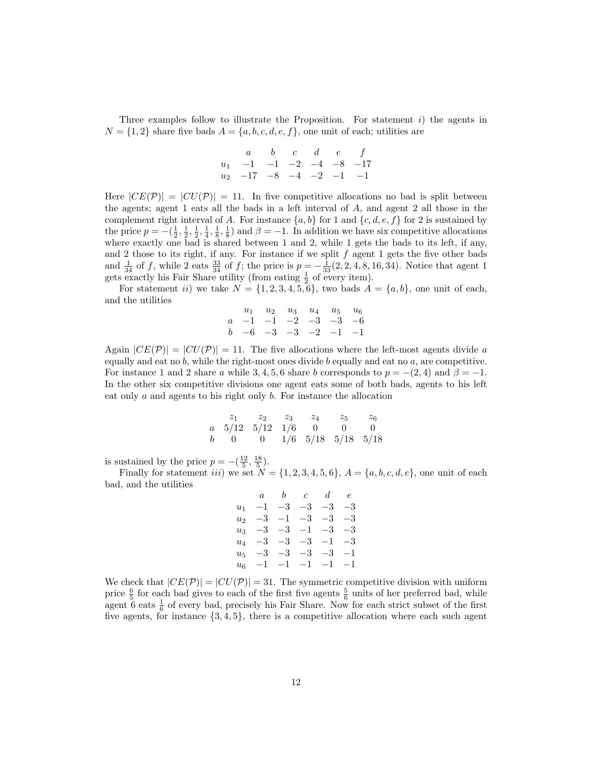Three examples follow to illustrate the Proposition. For statement  $i$ ) the agents in  $N = \{1, 2\}$  share five bads  $A = \{a, b, c, d, e, f\}$ , one unit of each; utilities are

$$
\begin{array}{ccccccccc}\n & a & b & c & d & e & f \\
u_1 & -1 & -1 & -2 & -4 & -8 & -17 \\
u_2 & -17 & -8 & -4 & -2 & -1 & -1\n\end{array}
$$

Here  $|CE(\mathcal{P})| = |CU(\mathcal{P})| = 11$ . In five competitive allocations no bad is split between the agents; agent 1 eats all the bads in a left interval of A, and agent 2 all those in the complement right interval of A. For instance  $\{a, b\}$  for 1 and  $\{c, d, e, f\}$  for 2 is sustained by the price  $p = -(\frac{1}{2}, \frac{1}{2}, \frac{1}{4}, \frac{1}{8}, \frac{1}{8})$  and  $\beta = -1$ . In addition we have six competitive allocations where exactly one bad is shared between 1 and 2, while 1 gets the bads to its left, if any, and 2 those to its right, if any. For instance if we split  $f$  agent 1 gets the five other bads and  $\frac{1}{34}$  of f, while 2 eats  $\frac{33}{34}$  of f; the price is  $p = -\frac{1}{33}(2, 2, 4, 8, 16, 34)$ . Notice that agent 1 gets exactly his Fair Share utility (from eating  $\frac{1}{2}$  of every item).

For statement ii) we take  $N = \{1, 2, 3, 4, 5, 6\}$ , two bads  $A = \{a, b\}$ , one unit of each, and the utilities

| $u_1 \quad u_2 \quad u_3 \quad u_4 \quad u_5 \quad u_6$ |  |  |  |
|---------------------------------------------------------|--|--|--|
| $a -1 -1 -2 -3 -3 -6$                                   |  |  |  |
| $b -6 -3 -3 -2 -1 -1$                                   |  |  |  |

Again  $|CE(\mathcal{P})| = |CU(\mathcal{P})| = 11$ . The five allocations where the left-most agents divide a equally and eat no  $b$ , while the right-most ones divide  $b$  equally and eat no  $a$ , are competitive. For instance 1 and 2 share a while 3, 4, 5, 6 share b corresponds to  $p = -(2, 4)$  and  $\beta = -1$ . In the other six competitive divisions one agent eats some of both bads, agents to his left eat only a and agents to his right only b. For instance the allocation

|  |  | $z_1$ $z_2$ $z_3$ $z_4$ $z_5$ $z_6$                         |  |
|--|--|-------------------------------------------------------------|--|
|  |  | $a \quad 5/12 \quad 5/12 \quad 1/6 \quad 0 \quad 0 \quad 0$ |  |
|  |  | b 0 0 1/6 5/18 5/18 5/18                                    |  |

is sustained by the price  $p = -(\frac{12}{5}, \frac{18}{5})$ .

Finally for statement *iii*) we set  $N = \{1, 2, 3, 4, 5, 6\}, A = \{a, b, c, d, e\}$ , one unit of each bad, and the utilities

|                      |  | $a \quad b \quad c \quad d \quad e$ |  |
|----------------------|--|-------------------------------------|--|
| $u_1$ -1 -3 -3 -3 -3 |  |                                     |  |
| $u_2$ -3 -1 -3 -3 -3 |  |                                     |  |
| $u_3$ -3 -3 -1 -3 -3 |  |                                     |  |
| $u_4$ -3 -3 -3 -1 -3 |  |                                     |  |
| $u_5$ -3 -3 -3 -3 -1 |  |                                     |  |
| $u_6$ -1 -1 -1 -1 -1 |  |                                     |  |

We check that  $|CE(\mathcal{P})| = |CU(\mathcal{P})| = 31$ . The symmetric competitive division with uniform price  $\frac{6}{5}$  for each bad gives to each of the first five agents  $\frac{5}{6}$  units of her preferred bad, while agent  $6$  eats  $\frac{1}{6}$  of every bad, precisely his Fair Share. Now for each strict subset of the first five agents, for instance  $\{3, 4, 5\}$ , there is a competitive allocation where each such agent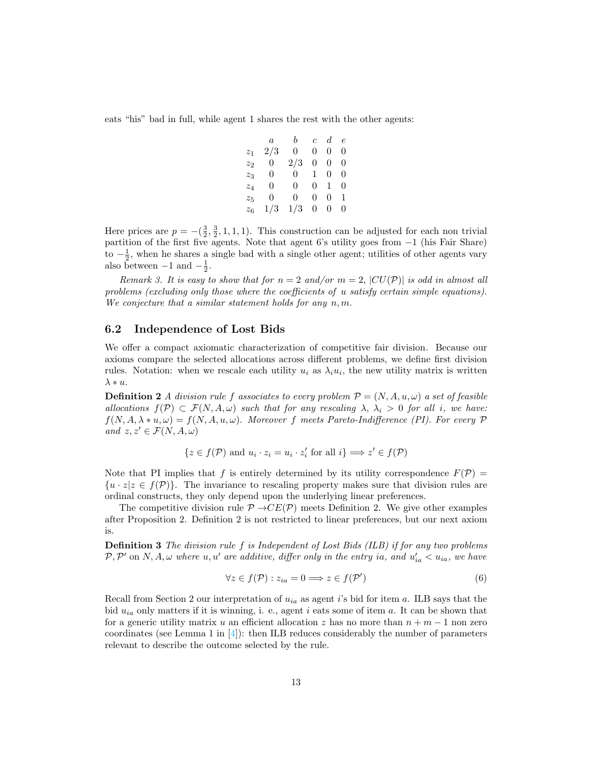eats "his" bad in full, while agent 1 shares the rest with the other agents:

|                 | $\,a$       | $\mathfrak{b}$ | $\mathfrak{c}$ | $d \cdot e$ |                |
|-----------------|-------------|----------------|----------------|-------------|----------------|
| $z_1$           | 2/3         | 0              | 0              | 0           | 0              |
| $\mathcal{Z}_2$ | $\boxed{0}$ | 2/3            | 0              | $0\quad 0$  |                |
| $z_3$           | 0           | $\overline{0}$ | $\mathbf{1}$   | 0           | 0              |
| $z_4$           | 0           | $\overline{0}$ | $\overline{0}$ | $1\,$       | - 0            |
| $\mathcal{Z}_5$ | 0.          | 0.             | 0              | 0           | $\overline{1}$ |
| $z_6$           | 1/3         | 1/3            | 0              | 0           | 0              |

Here prices are  $p = -(\frac{3}{2}, \frac{3}{2}, 1, 1, 1)$ . This construction can be adjusted for each non trivial partition of the first five agents. Note that agent 6's utility goes from −1 (his Fair Share) to  $-\frac{1}{2}$ , when he shares a single bad with a single other agent; utilities of other agents vary also between  $-1$  and  $-\frac{1}{2}$ .

Remark 3. It is easy to show that for  $n = 2$  and/or  $m = 2$ ,  $|CU(\mathcal{P})|$  is odd in almost all problems (excluding only those where the coefficients of u satisfy certain simple equations). We conjecture that a similar statement holds for any  $n, m$ .

### 6.2 Independence of Lost Bids

We offer a compact axiomatic characterization of competitive fair division. Because our axioms compare the selected allocations across different problems, we define first division rules. Notation: when we rescale each utility  $u_i$  as  $\lambda_i u_i$ , the new utility matrix is written  $\lambda * u$ .

**Definition 2** A division rule f associates to every problem  $\mathcal{P} = (N, A, u, \omega)$  a set of feasible allocations  $f(\mathcal{P}) \subset \mathcal{F}(N, A, \omega)$  such that for any rescaling  $\lambda, \lambda_i > 0$  for all i, we have:  $f(N, A, \lambda * u, \omega) = f(N, A, u, \omega)$ . Moreover f meets Pareto-Indifference (PI). For every P and  $z, z' \in \mathcal{F}(N, A, \omega)$ 

$$
\{z \in f(\mathcal{P}) \text{ and } u_i \cdot z_i = u_i \cdot z_i' \text{ for all } i\} \Longrightarrow z' \in f(\mathcal{P})
$$

Note that PI implies that f is entirely determined by its utility correspondence  $F(\mathcal{P}) =$  ${u \cdot z | z \in f(\mathcal{P})}.$  The invariance to rescaling property makes sure that division rules are ordinal constructs, they only depend upon the underlying linear preferences.

The competitive division rule  $\mathcal{P} \rightarrow CE(\mathcal{P})$  meets Definition 2. We give other examples after Proposition 2. Definition 2 is not restricted to linear preferences, but our next axiom is.

Definition 3 The division rule f is Independent of Lost Bids (ILB) if for any two problems  $\mathcal{P}, \mathcal{P}'$  on  $N, A, \omega$  where  $u, u'$  are additive, differ only in the entry ia, and  $u'_{ia} < u_{ia}$ , we have

$$
\forall z \in f(\mathcal{P}) : z_{ia} = 0 \Longrightarrow z \in f(\mathcal{P}')
$$
\n(6)

Recall from Section 2 our interpretation of  $u_{ia}$  as agent i's bid for item a. ILB says that the bid  $u_{ia}$  only matters if it is winning, i. e., agent i eats some of item a. It can be shown that for a generic utility matrix u an efficient allocation z has no more than  $n + m - 1$  non zero coordinates (see Lemma 1 in  $[4]$ ): then ILB reduces considerably the number of parameters relevant to describe the outcome selected by the rule.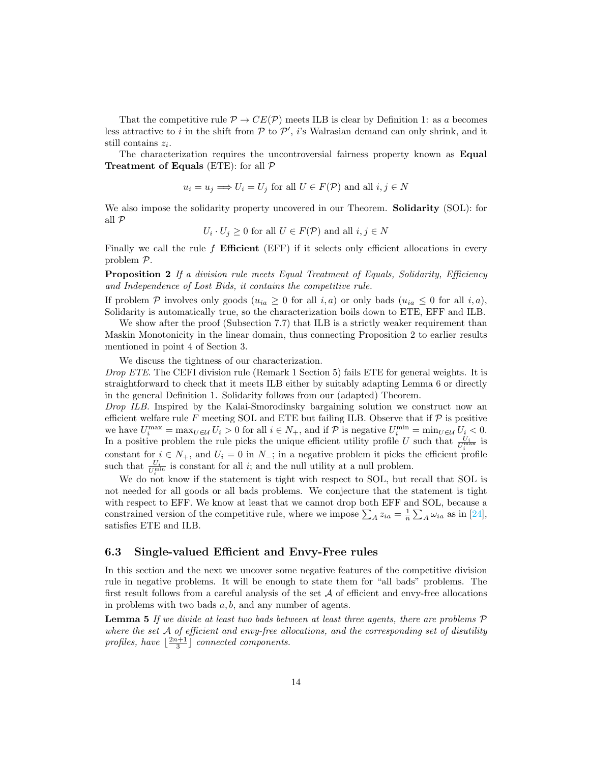That the competitive rule  $\mathcal{P} \to CE(\mathcal{P})$  meets ILB is clear by Definition 1: as a becomes less attractive to i in the shift from  $P$  to  $P'$ , i's Walrasian demand can only shrink, and it still contains  $z_i$ .

The characterization requires the uncontroversial fairness property known as Equal **Treatment of Equals** (ETE): for all  $P$ 

$$
u_i = u_j \Longrightarrow U_i = U_j
$$
 for all  $U \in F(\mathcal{P})$  and all  $i, j \in N$ 

We also impose the solidarity property uncovered in our Theorem. **Solidarity** (SOL): for all P

$$
U_i \cdot U_j \ge 0
$$
 for all  $U \in F(\mathcal{P})$  and all  $i, j \in N$ 

Finally we call the rule  $f$  Efficient (EFF) if it selects only efficient allocations in every problem P.

**Proposition 2** If a division rule meets Equal Treatment of Equals, Solidarity, Efficiency and Independence of Lost Bids, it contains the competitive rule.

If problem P involves only goods  $(u_{ia} \geq 0$  for all  $i, a$ ) or only bads  $(u_{ia} \leq 0$  for all  $i, a)$ , Solidarity is automatically true, so the characterization boils down to ETE, EFF and ILB.

We show after the proof (Subsection 7.7) that ILB is a strictly weaker requirement than Maskin Monotonicity in the linear domain, thus connecting Proposition 2 to earlier results mentioned in point 4 of Section 3.

We discuss the tightness of our characterization.

Drop ETE. The CEFI division rule (Remark 1 Section 5) fails ETE for general weights. It is straightforward to check that it meets ILB either by suitably adapting Lemma 6 or directly in the general Definition 1. Solidarity follows from our (adapted) Theorem.

Drop ILB. Inspired by the Kalai-Smorodinsky bargaining solution we construct now an efficient welfare rule  $F$  meeting SOL and ETE but failing ILB. Observe that if  $P$  is positive we have  $U_i^{\max} = \max_{U \in \mathcal{U}} U_i > 0$  for all  $i \in N_+$ , and if  $\mathcal{P}$  is negative  $U_i^{\min} = \min_{U \in \mathcal{U}} U_i < 0$ . In a positive problem the rule picks the unique efficient utility profile U such that  $\frac{U_i}{U_i^{\max}}$  is constant for  $i \in N_+$ , and  $U_i = 0$  in  $N_-$ ; in a negative problem it picks the efficient profile such that  $\frac{U_i}{U_i^{\min}}$  is constant for all *i*; and the null utility at a null problem.

We do not know if the statement is tight with respect to SOL, but recall that SOL is not needed for all goods or all bads problems. We conjecture that the statement is tight with respect to EFF. We know at least that we cannot drop both EFF and SOL, because a constrained version of the competitive rule, where we impose  $\sum_{A} z_{ia} = \frac{1}{n} \sum_{A} \omega_{ia}$  as in [\[24\]](#page-30-14), satisfies ETE and ILB.

### 6.3 Single-valued Efficient and Envy-Free rules

In this section and the next we uncover some negative features of the competitive division rule in negative problems. It will be enough to state them for "all bads" problems. The first result follows from a careful analysis of the set  $A$  of efficient and envy-free allocations in problems with two bads  $a, b$ , and any number of agents.

**Lemma 5** If we divide at least two bads between at least three agents, there are problems  $P$ where the set  $A$  of efficient and envy-free allocations, and the corresponding set of disutility profiles, have  $\lfloor \frac{2n+1}{3} \rfloor$  connected components.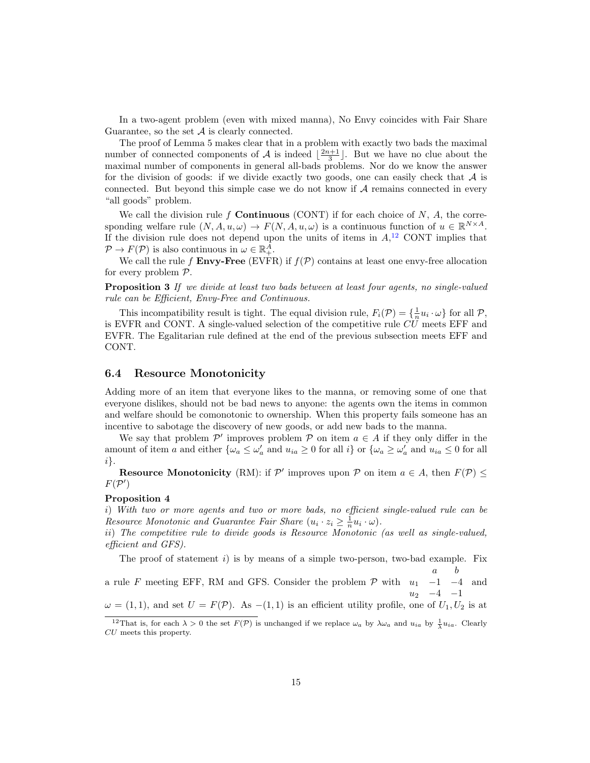In a two-agent problem (even with mixed manna), No Envy coincides with Fair Share Guarantee, so the set  $A$  is clearly connected.

The proof of Lemma 5 makes clear that in a problem with exactly two bads the maximal number of connected components of  $\mathcal A$  is indeed  $\lfloor \frac{2n+1}{3} \rfloor$ . But we have no clue about the maximal number of components in general all-bads problems. Nor do we know the answer for the division of goods: if we divide exactly two goods, one can easily check that  $\mathcal A$  is connected. But beyond this simple case we do not know if  $A$  remains connected in every "all goods" problem.

We call the division rule f **Continuous** (CONT) if for each choice of  $N$ ,  $A$ , the corresponding welfare rule  $(N, A, u, \omega) \to F(N, A, u, \omega)$  is a continuous function of  $u \in \mathbb{R}^{N \times A}$ . If the division rule does not depend upon the units of items in  $A$ <sup>[12](#page-14-0)</sup> CONT implies that  $\mathcal{P} \to F(\mathcal{P})$  is also continuous in  $\omega \in \mathbb{R}^A_+$ .

We call the rule f **Envy-Free** (EVFR) if  $f(\mathcal{P})$  contains at least one envy-free allocation for every problem P.

Proposition 3 If we divide at least two bads between at least four agents, no single-valued rule can be Efficient, Envy-Free and Continuous.

This incompatibility result is tight. The equal division rule,  $F_i(\mathcal{P}) = \{\frac{1}{n}u_i \cdot \omega\}$  for all  $\mathcal{P}$ , is EVFR and CONT. A single-valued selection of the competitive rule  $CU$  meets EFF and EVFR. The Egalitarian rule defined at the end of the previous subsection meets EFF and CONT.

### 6.4 Resource Monotonicity

Adding more of an item that everyone likes to the manna, or removing some of one that everyone dislikes, should not be bad news to anyone: the agents own the items in common and welfare should be comonotonic to ownership. When this property fails someone has an incentive to sabotage the discovery of new goods, or add new bads to the manna.

We say that problem  $\mathcal{P}'$  improves problem  $\mathcal{P}$  on item  $a \in A$  if they only differ in the amount of item a and either  $\{\omega_a \leq \omega'_a \text{ and } u_{ia} \geq 0 \text{ for all } i\}$  or  $\{\omega_a \geq \omega'_a \text{ and } u_{ia} \leq 0 \text{ for all } i\}$ i}.

**Resource Monotonicity** (RM): if  $\mathcal{P}'$  improves upon  $\mathcal{P}$  on item  $a \in A$ , then  $F(\mathcal{P}) \leq$  $F(\mathcal{P}')$ 

### Proposition 4

i) With two or more agents and two or more bads, no efficient single-valued rule can be Resource Monotonic and Guarantee Fair Share  $(u_i \cdot z_i \geq \frac{1}{n} u_i \cdot \omega)$ .

ii) The competitive rule to divide goods is Resource Monotonic (as well as single-valued, efficient and GFS).

The proof of statement i) is by means of a simple two-person, two-bad example. Fix

a b

a rule F meeting EFF, RM and GFS. Consider the problem  $P$  with  $u_1$  -1 -4  $u_2$  −4 −1 and

 $\omega = (1, 1)$ , and set  $U = F(\mathcal{P})$ . As  $-(1, 1)$  is an efficient utility profile, one of  $U_1, U_2$  is at

<span id="page-14-0"></span><sup>&</sup>lt;sup>12</sup>That is, for each  $\lambda > 0$  the set  $F(\mathcal{P})$  is unchanged if we replace  $\omega_a$  by  $\lambda \omega_a$  and  $u_{ia}$  by  $\frac{1}{\lambda} u_{ia}$ . Clearly CU meets this property.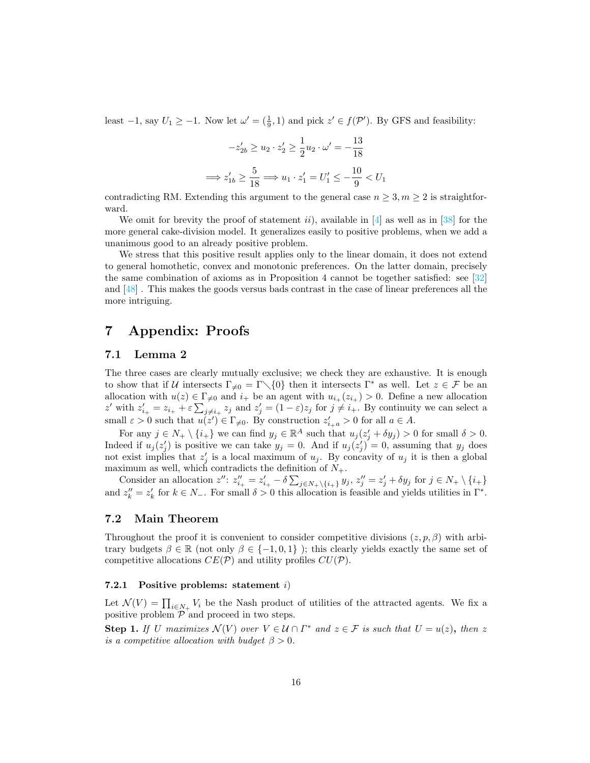least  $-1$ , say  $U_1 \ge -1$ . Now let  $\omega' = (\frac{1}{9}, 1)$  and pick  $z' \in f(\mathcal{P}')$ . By GFS and feasibility:

$$
-z'_{2b} \ge u_2 \cdot z'_2 \ge \frac{1}{2}u_2 \cdot \omega' = -\frac{13}{18}
$$

$$
\implies z'_{1b} \ge \frac{5}{18} \implies u_1 \cdot z'_1 = U'_1 \le -\frac{10}{9} < U_1
$$

contradicting RM. Extending this argument to the general case  $n \geq 3, m \geq 2$  is straightforward.

We omit for brevity the proof of statement ii), available in  $[4]$  as well as in [\[38\]](#page-31-5) for the more general cake-division model. It generalizes easily to positive problems, when we add a unanimous good to an already positive problem.

We stress that this positive result applies only to the linear domain, it does not extend to general homothetic, convex and monotonic preferences. On the latter domain, precisely the same combination of axioms as in Proposition 4 cannot be together satisfied: see  $\lceil 32 \rceil$ and [\[48\]](#page-32-10) . This makes the goods versus bads contrast in the case of linear preferences all the more intriguing.

## 7 Appendix: Proofs

## 7.1 Lemma 2

The three cases are clearly mutually exclusive; we check they are exhaustive. It is enough to show that if U intersects Γ $\neq$  = Γ $\setminus$ {0} then it intersects Γ<sup>\*</sup> as well. Let  $z \in \mathcal{F}$  be an allocation with  $u(z) \in \Gamma_{\neq 0}$  and  $i_+$  be an agent with  $u_{i_+}(z_{i_+}) > 0$ . Define a new allocation z' with  $z'_{i_+} = z_{i_+} + \varepsilon \sum_{j \neq i_+} z_j$  and  $z'_j = (1 - \varepsilon)z_j$  for  $j \neq i_+$ . By continuity we can select a small  $\varepsilon > 0$  such that  $u(z') \in \Gamma_{\neq 0}$ . By construction  $z'_{i+a} > 0$  for all  $a \in A$ .

For any  $j \in N_+ \setminus \{i_+\}$  we can find  $y_j \in \mathbb{R}^A$  such that  $u_j(z_j' + \delta y_j) > 0$  for small  $\delta > 0$ . Indeed if  $u_j(z'_j)$  is positive we can take  $y_j = 0$ . And if  $u_j(z'_j) = 0$ , assuming that  $y_j$  does not exist implies that  $z_j'$  is a local maximum of  $u_j$ . By concavity of  $u_j$  it is then a global maximum as well, which contradicts the definition of  $N_{+}$ .

Consider an allocation  $z''$ :  $z''_{i_+} = z'_{i_+} - \delta \sum_{j \in N_+\setminus \{i_+\}} y_j$ ,  $z''_j = z'_j + \delta y_j$  for  $j \in N_+ \setminus \{i_+\}$ and  $z_k'' = z_k'$  for  $k \in N_-$ . For small  $\delta > 0$  this allocation is feasible and yields utilities in  $\Gamma^*$ .

## 7.2 Main Theorem

Throughout the proof it is convenient to consider competitive divisions  $(z, p, \beta)$  with arbitrary budgets  $\beta \in \mathbb{R}$  (not only  $\beta \in \{-1, 0, 1\}$ ); this clearly yields exactly the same set of competitive allocations  $CE(\mathcal{P})$  and utility profiles  $CU(\mathcal{P})$ .

### 7.2.1 Positive problems: statement i)

Let  $\mathcal{N}(V) = \prod_{i \in N_+} V_i$  be the Nash product of utilities of the attracted agents. We fix a positive problem  $P$  and proceed in two steps.

**Step 1.** If U maximizes  $\mathcal{N}(V)$  over  $V \in \mathcal{U} \cap \Gamma^*$  and  $z \in \mathcal{F}$  is such that  $U = u(z)$ , then z is a competitive allocation with budget  $\beta > 0$ .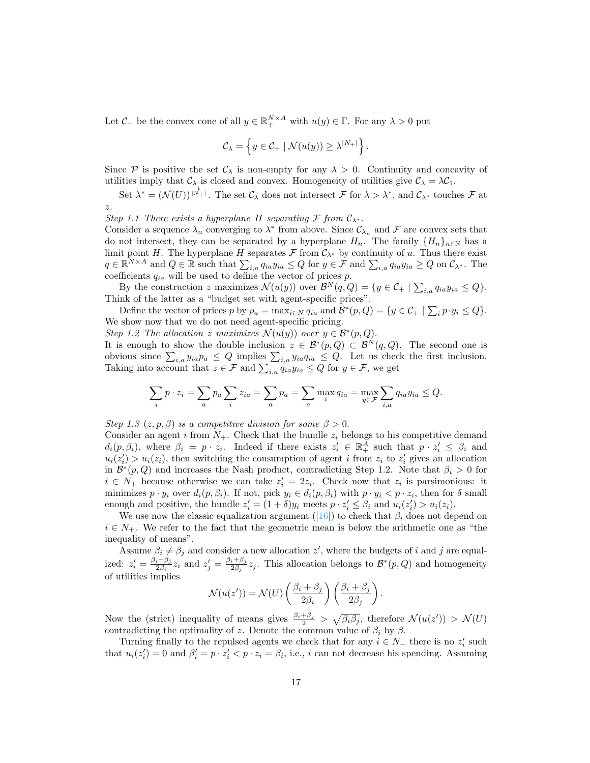Let  $C_+$  be the convex cone of all  $y \in \mathbb{R}_+^{N \times A}$  with  $u(y) \in \Gamma$ . For any  $\lambda > 0$  put

$$
\mathcal{C}_{\lambda} = \left\{ y \in \mathcal{C}_{+} \mid \mathcal{N}(u(y)) \geq \lambda^{|N_{+}|} \right\}.
$$

Since  $P$  is positive the set  $C_{\lambda}$  is non-empty for any  $\lambda > 0$ . Continuity and concavity of utilities imply that  $C_{\lambda}$  is closed and convex. Homogeneity of utilities give  $C_{\lambda} = \lambda C_1$ .

Set  $\lambda^* = (\mathcal{N}(U))^{\frac{1}{|N_+|}}$ . The set  $\mathcal{C}_{\lambda}$  does not intersect  $\mathcal{F}$  for  $\lambda > \lambda^*$ , and  $\mathcal{C}_{\lambda^*}$  touches  $\mathcal{F}$  at z.

Step 1.1 There exists a hyperplane H separating F from  $C_{\lambda^*}$ .

Consider a sequence  $\lambda_n$  converging to  $\lambda^*$  from above. Since  $\mathcal{C}_{\lambda_n}$  and  $\mathcal F$  are convex sets that do not intersect, they can be separated by a hyperplane  $H_n$ . The family  $\{H_n\}_{n\in\mathbb{N}}$  has a limit point H. The hyperplane H separates  $\mathcal F$  from  $\mathcal C_{\lambda^*}$  by continuity of u. Thus there exist  $q \in \mathbb{R}^{N \times A}$  and  $Q \in \mathbb{R}$  such that  $\sum_{i,a} q_{ia} y_{ia} \le Q$  for  $y \in \mathcal{F}$  and  $\sum_{i,a} q_{ia} y_{ia} \ge Q$  on  $\mathcal{C}_{\lambda^*}$ . The coefficients  $q_{ia}$  will be used to define the vector of prices p.

By the construction z maximizes  $\mathcal{N}(u(y))$  over  $\mathcal{B}^N(q, Q) = \{y \in \mathcal{C}_+ \mid \sum_{i,a} q_{ia} y_{ia} \leq Q\}.$ Think of the latter as a "budget set with agent-specific prices".

Define the vector of prices p by  $p_a = \max_{i \in N} q_{ia}$  and  $\mathcal{B}^*(p, Q) = \{y \in \mathcal{C}_+ \mid \sum_i p \cdot y_i \leq Q\}.$ We show now that we do not need agent-specific pricing.

Step 1.2 The allocation z maximizes  $\mathcal{N}(u(y))$  over  $y \in \mathcal{B}^*(p, Q)$ .

It is enough to show the double inclusion  $z \in \mathcal{B}^*(p, Q) \subset \mathcal{B}^N(q, Q)$ . The second one is obvious since  $\sum_{i,a} y_{ia} p_a \leq Q$  implies  $\sum_{i,a} y_{ia} q_{ia} \leq Q$ . Let us check the first inclusion. Taking into account that  $z \in \mathcal{F}$  and  $\sum_{i,a} q_{ia} y_{ia} \leq Q$  for  $y \in \mathcal{F}$ , we get

$$
\sum_{i} p \cdot z_i = \sum_{a} p_a \sum_{i} z_{ia} = \sum_{a} p_a = \sum_{a} \max_{i} q_{ia} = \max_{y \in \mathcal{F}} \sum_{i,a} q_{ia} y_{ia} \le Q.
$$

Step 1.3  $(z, p, \beta)$  is a competitive division for some  $\beta > 0$ .

Consider an agent i from  $N_{+}$ . Check that the bundle  $z_i$  belongs to his competitive demand  $d_i(p, \beta_i)$ , where  $\beta_i = p \cdot z_i$ . Indeed if there exists  $z_i \in \mathbb{R}^{\tilde{A}}_+$  such that  $p \cdot z_i' \leq \beta_i$  and  $u_i(z'_i) > u_i(z_i)$ , then switching the consumption of agent i from  $z_i$  to  $z'_i$  gives an allocation in  $\mathcal{B}^*(p,Q)$  and increases the Nash product, contradicting Step 1.2. Note that  $\beta_i > 0$  for  $i \in N_+$  because otherwise we can take  $z_i' = 2z_i$ . Check now that  $z_i$  is parsimonious: it minimizes  $p \cdot y_i$  over  $d_i(p, \beta_i)$ . If not, pick  $y_i \in d_i(p, \beta_i)$  with  $p \cdot y_i < p \cdot z_i$ , then for  $\delta$  small enough and positive, the bundle  $z_i' = (1 + \delta)y_i$  meets  $p \cdot z_i' \leq \beta_i$  and  $u_i(z_i') > u_i(z_i)$ .

Weuse now the classic equalization argument ([\[16\]](#page-30-4)) to check that  $\beta_i$  does not depend on  $i \in N_+$ . We refer to the fact that the geometric mean is below the arithmetic one as "the inequality of means".

Assume  $\beta_i \neq \beta_j$  and consider a new allocation z', where the budgets of i and j are equalized:  $z_i' = \frac{\beta_i + \beta_j}{2\beta_i}$  $\frac{i+\beta_j}{2\beta_i}z_i$  and  $z'_j = \frac{\beta_i+\beta_j}{2\beta_j}$  $\frac{i+\beta_j}{2\beta_j}z_j$ . This allocation belongs to  $\mathcal{B}^*(p,Q)$  and homogeneity of utilities implies

$$
\mathcal{N}(u(z')) = \mathcal{N}(U) \left( \frac{\beta_i + \beta_j}{2\beta_i} \right) \left( \frac{\beta_i + \beta_j}{2\beta_j} \right).
$$

Now the (strict) inequality of means gives  $\frac{\beta_i+\beta_j}{2} > \sqrt{\beta_i\beta_j}$ , therefore  $\mathcal{N}(u(z')) > \mathcal{N}(U)$ contradicting the optimality of z. Denote the common value of  $\beta_i$  by  $\beta$ .

Turning finally to the repulsed agents we check that for any  $i \in N_-\$  there is no  $z_i'$  such that  $u_i(z'_i) = 0$  and  $\beta'_i = p \cdot z'_i < p \cdot z_i = \beta_i$ , i.e., i can not decrease his spending. Assuming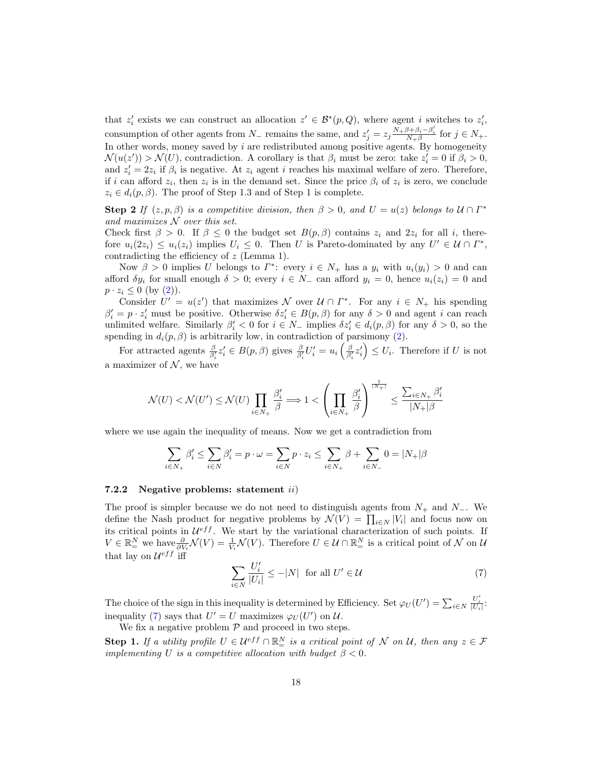that  $z'_i$  exists we can construct an allocation  $z' \in \mathcal{B}^*(p, Q)$ , where agent i switches to  $z'_i$ , consumption of other agents from  $N_-$  remains the same, and  $z'_j = z_j \frac{N_+ \beta + \beta_i - \beta'_i}{N_+ \beta}$  for  $j \in N_+$ . In other words, money saved by  $i$  are redistributed among positive agents. By homogeneity  $\mathcal{N}(u(z')) > \mathcal{N}(U)$ , contradiction. A corollary is that  $\beta_i$  must be zero: take  $z'_i = 0$  if  $\beta_i > 0$ , and  $z_i' = 2z_i$  if  $\beta_i$  is negative. At  $z_i$  agent i reaches his maximal welfare of zero. Therefore, if i can afford  $z_i$ , then  $z_i$  is in the demand set. Since the price  $\beta_i$  of  $z_i$  is zero, we conclude  $z_i \in d_i(p, \beta)$ . The proof of Step 1.3 and of Step 1 is complete.

**Step 2** If  $(z, p, \beta)$  is a competitive division, then  $\beta > 0$ , and  $U = u(z)$  belongs to  $\mathcal{U} \cap \Gamma^*$ and maximizes  $N$  over this set.

Check first  $\beta > 0$ . If  $\beta \leq 0$  the budget set  $B(p, \beta)$  contains  $z_i$  and  $2z_i$  for all i, therefore  $u_i(2z_i) \leq u_i(z_i)$  implies  $U_i \leq 0$ . Then U is Pareto-dominated by any  $U' \in \mathcal{U} \cap \Gamma^*$ , contradicting the efficiency of z (Lemma 1).

Now  $\beta > 0$  implies U belongs to  $\Gamma^*$ : every  $i \in N_+$  has a  $y_i$  with  $u_i(y_i) > 0$  and can afford  $\delta y_i$  for small enough  $\delta > 0$ ; every  $i \in N_-$  can afford  $y_i = 0$ , hence  $u_i(z_i) = 0$  and  $p \cdot z_i \leq 0$  (by  $(2)$ ).

Consider  $U' = u(z')$  that maximizes N over  $\mathcal{U} \cap \Gamma^*$ . For any  $i \in N_+$  his spending  $\beta'_i = p \cdot z'_i$  must be positive. Otherwise  $\delta z'_i \in B(p, \beta)$  for any  $\delta > 0$  and agent i can reach unlimited welfare. Similarly  $\beta'_i < 0$  for  $i \in N_-$  implies  $\delta z'_i \in d_i(p, \beta)$  for any  $\delta > 0$ , so the spending in  $d_i(p, \beta)$  is arbitrarily low, in contradiction of parsimony [\(2\)](#page-8-1).

For attracted agents  $\frac{\beta}{\beta'_i} z'_i \in B(p, \beta)$  gives  $\frac{\beta}{\beta'_i} U'_i = u_i \left( \frac{\beta}{\beta'_i} z'_i \right) \leq U_i$ . Therefore if U is not a maximizer of  $N$ , we have

$$
\mathcal{N}(U) < \mathcal{N}(U') \leq \mathcal{N}(U) \prod_{i \in N_+} \frac{\beta_i'}{\beta} \Longrightarrow 1 < \left(\prod_{i \in N_+} \frac{\beta_i'}{\beta}\right)^{\frac{1}{|N_+|}} \leq \frac{\sum_{i \in N_+} \beta_i'}{|N_+|\beta}
$$

where we use again the inequality of means. Now we get a contradiction from

$$
\sum_{i \in N_+} \beta'_i \le \sum_{i \in N} \beta'_i = p \cdot \omega = \sum_{i \in N} p \cdot z_i \le \sum_{i \in N_+} \beta + \sum_{i \in N_-} 0 = |N_+|\beta
$$

#### 7.2.2 Negative problems: statement ii)

The proof is simpler because we do not need to distinguish agents from  $N_+$  and  $N_-$ . We define the Nash product for negative problems by  $\mathcal{N}(V) = \prod_{i \in N} |V_i|$  and focus now on its critical points in  $\mathcal{U}^{eff}$ . We start by the variational characterization of such points. If  $V \in \mathbb{R}^N_\equiv$  we have  $\frac{\partial}{\partial V_i} \mathcal{N}(V) = \frac{1}{V_i} \mathcal{N}(V)$ . Therefore  $U \in \mathcal{U} \cap \mathbb{R}^N_\equiv$  is a critical point of  $\mathcal N$  on  $\mathcal U$ that lay on  $\mathcal{U}^{eff}$  iff

<span id="page-17-0"></span>
$$
\sum_{i \in N} \frac{U_i'}{|U_i|} \le -|N| \text{ for all } U' \in \mathcal{U}
$$
\n<sup>(7)</sup>

The choice of the sign in this inequality is determined by Efficiency. Set  $\varphi_U(U') = \sum_{i \in N} \frac{U'_i}{|U_i|}$ : inequality [\(7\)](#page-17-0) says that  $U' = U$  maximizes  $\varphi_U(U')$  on  $\mathcal{U}$ .

We fix a negative problem  $P$  and proceed in two steps.

**Step 1.** If a utility profile  $U \in \mathcal{U}^{eff} \cap \mathbb{R}^N_+$  is a critical point of N on U, then any  $z \in \mathcal{F}$ implementing U is a competitive allocation with budget  $\beta < 0$ .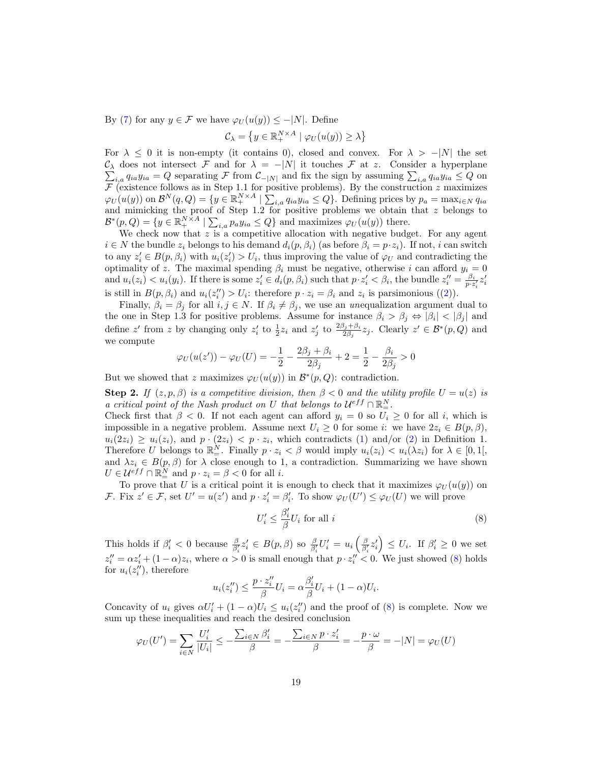By [\(7\)](#page-17-0) for any  $y \in \mathcal{F}$  we have  $\varphi_U(u(y)) \leq -|N|$ . Define

$$
\mathcal{C}_{\lambda} = \left\{ y \in \mathbb{R}_{+}^{N \times A} \mid \varphi_{U}(u(y)) \ge \lambda \right\}
$$

For  $\lambda \leq 0$  it is non-empty (it contains 0), closed and convex. For  $\lambda > -|N|$  the set  $\mathcal{C}_{0}^{0}$ P  $\lambda$  does not intersect F and for  $\lambda = -|N|$  it touches F at z. Consider a hyperplane  $i_{i,a} q_{ia} y_{ia} = Q$  separating  $\mathcal F$  from  $\mathcal C_{-|N|}$  and fix the sign by assuming  $\sum_{i,a} q_{ia} y_{ia} \le Q$  on  $\mathcal F$  (existence follows as in Step 1.1 for positive problems). By the construction z maximizes  $\varphi_U(u(y))$  on  $\mathcal{B}^N(q,Q) = \{y \in \mathbb{R}^{N \times A}_+ \mid \sum_{i,a} q_{ia} y_{ia} \leq Q\}$ . Defining prices by  $p_a = \max_{i \in N} q_{ia}$ and mimicking the proof of Step 1.2 for positive problems we obtain that  $z$  belongs to  $\mathcal{B}^*(p, Q) = \{y \in \mathbb{R}_+^{N \times A} \mid \sum_{i,a} p_a y_{ia} \leq Q\}$  and maximizes  $\varphi_U(u(y))$  there.

We check now that  $z$  is a competitive allocation with negative budget. For any agent  $i \in N$  the bundle  $z_i$  belongs to his demand  $d_i(p, \beta_i)$  (as before  $\beta_i = p \cdot z_i$ ). If not, i can switch to any  $z_i' \in B(p, \beta_i)$  with  $u_i(z_i') > U_i$ , thus improving the value of  $\varphi_U$  and contradicting the optimality of z. The maximal spending  $\beta_i$  must be negative, otherwise i can afford  $y_i = 0$ and  $u_i(z_i) < u_i(y_i)$ . If there is some  $z_i' \in d_i(p, \beta_i)$  such that  $p \cdot z_i' < \beta_i$ , the bundle  $z_i'' = \frac{\beta_i}{p \cdot z_i'} z_i'$ is still in  $B(p, \beta_i)$  and  $u_i(z_i'') > U_i$ : therefore  $p \cdot z_i = \beta_i$  and  $z_i$  is parsimonious ([\(2\)](#page-8-1)).

Finally,  $\beta_i = \beta_j$  for all  $i, j \in N$ . If  $\beta_i \neq \beta_j$ , we use an unequalization argument dual to the one in Step 1.3 for positive problems. Assume for instance  $\beta_i > \beta_j \Leftrightarrow |\beta_i| < |\beta_j|$  and define z' from z by changing only  $z'_i$  to  $\frac{1}{2}z_i$  and  $z'_j$  to  $\frac{2\beta_j+\beta_i}{2\beta_j}z_j$ . Clearly  $z' \in \mathcal{B}^*(p,Q)$  and we compute

$$
\varphi_U(u(z')) - \varphi_U(U) = -\frac{1}{2} - \frac{2\beta_j + \beta_i}{2\beta_j} + 2 = \frac{1}{2} - \frac{\beta_i}{2\beta_j} > 0
$$

But we showed that z maximizes  $\varphi_U(u(y))$  in  $\mathcal{B}^*(p,Q)$ : contradiction.

**Step 2.** If  $(z, p, \beta)$  is a competitive division, then  $\beta < 0$  and the utility profile  $U = u(z)$  is a critical point of the Nash product on U that belongs to  $\mathcal{U}^{eff} \cap \mathbb{R}^N_-$ .

Check first that  $\beta < 0$ . If not each agent can afford  $y_i = 0$  so  $U_i \ge 0$  for all i, which is impossible in a negative problem. Assume next  $U_i \geq 0$  for some i: we have  $2z_i \in B(p, \beta)$ ,  $u_i(2z_i) \geq u_i(z_i)$ , and  $p \cdot (2z_i) < p \cdot z_i$ , which contradicts [\(1\)](#page-8-0) and/or [\(2\)](#page-8-1) in Definition 1. Therefore U belongs to  $\mathbb{R}^N_+$ . Finally  $p \cdot z_i < \beta$  would imply  $u_i(z_i) < u_i(\lambda z_i)$  for  $\lambda \in [0,1],$ and  $\lambda z_i \in B(p, \beta)$  for  $\lambda$  close enough to 1, a contradiction. Summarizing we have shown  $U \in \mathcal{U}^{eff} \cap \mathbb{R}^N_+$  and  $p \cdot z_i = \beta < 0$  for all *i*.

To prove that U is a critical point it is enough to check that it maximizes  $\varphi_U(u(y))$  on F. Fix  $z' \in \mathcal{F}$ , set  $U' = u(z')$  and  $p \cdot z_i' = \beta_i'$ . To show  $\varphi_U(U') \leq \varphi_U(U)$  we will prove

<span id="page-18-0"></span>
$$
U_i' \le \frac{\beta_i'}{\beta} U_i \text{ for all } i
$$
\n<sup>(8)</sup>

This holds if  $\beta_i' < 0$  because  $\frac{\beta}{\beta_i'} z_i' \in B(p, \beta)$  so  $\frac{\beta}{\beta_i'} U_i' = u_i \left( \frac{\beta}{\beta_i'} z_i' \right) \leq U_i$ . If  $\beta_i' \geq 0$  we set  $z_i'' = \alpha z_i' + (1 - \alpha)z_i$ , where  $\alpha > 0$  is small enough that  $p \cdot z_i'' < 0$ . We just showed [\(8\)](#page-18-0) holds for  $u_i(z''_i)$ , therefore

$$
u_i(z_i'') \le \frac{p \cdot z_i''}{\beta} U_i = \alpha \frac{\beta_i'}{\beta} U_i + (1 - \alpha) U_i.
$$

Concavity of  $u_i$  gives  $\alpha U'_i + (1 - \alpha)U_i \leq u_i(z''_i)$  and the proof of [\(8\)](#page-18-0) is complete. Now we sum up these inequalities and reach the desired conclusion

$$
\varphi_U(U') = \sum_{i \in N} \frac{U'_i}{|U_i|} \le -\frac{\sum_{i \in N} \beta'_i}{\beta} = -\frac{\sum_{i \in N} p \cdot z'_i}{\beta} = -\frac{p \cdot \omega}{\beta} = -|N| = \varphi_U(U)
$$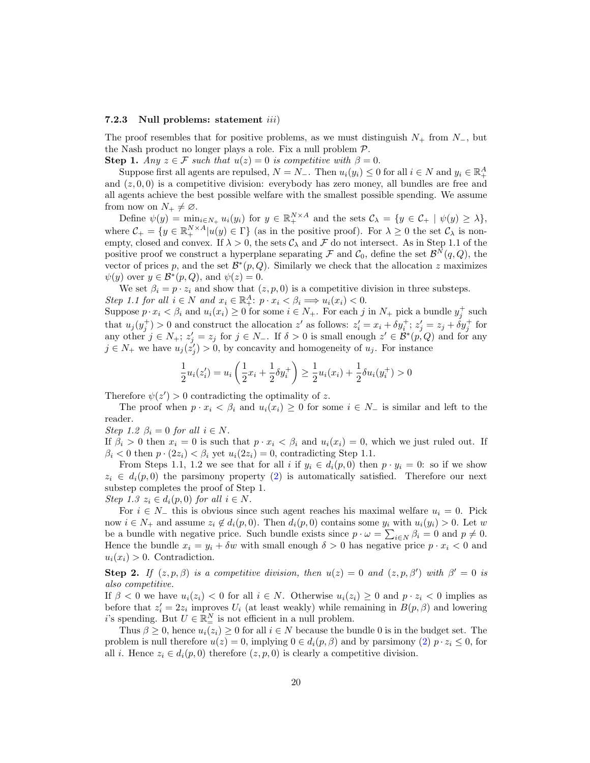#### 7.2.3 Null problems: statement iii)

The proof resembles that for positive problems, as we must distinguish  $N_+$  from  $N_-,$  but the Nash product no longer plays a role. Fix a null problem  $P$ .

**Step 1.** Any  $z \in \mathcal{F}$  such that  $u(z) = 0$  is competitive with  $\beta = 0$ .

Suppose first all agents are repulsed,  $N = N_-\$ . Then  $u_i(y_i) \leq 0$  for all  $i \in N$  and  $y_i \in \mathbb{R}^A_+$ and  $(z, 0, 0)$  is a competitive division: everybody has zero money, all bundles are free and all agents achieve the best possible welfare with the smallest possible spending. We assume from now on  $N_+ \neq \emptyset$ .

Define  $\psi(y) = \min_{i \in N_+} u_i(y_i)$  for  $y \in \mathbb{R}_+^{N \times A}$  and the sets  $\mathcal{C}_{\lambda} = \{y \in \mathcal{C}_+ \mid \psi(y) \geq \lambda\},$ where  $\mathcal{C}_+ = \{y \in \mathbb{R}_+^{N \times A} | u(y) \in \Gamma \}$  (as in the positive proof). For  $\lambda \geq 0$  the set  $\mathcal{C}_{\lambda}$  is nonempty, closed and convex. If  $\lambda > 0$ , the sets  $\mathcal{C}_{\lambda}$  and F do not intersect. As in Step 1.1 of the positive proof we construct a hyperplane separating  $\mathcal F$  and  $\mathcal C_0$ , define the set  $\mathcal B^N(q,Q)$ , the vector of prices p, and the set  $\mathcal{B}^*(p, Q)$ . Similarly we check that the allocation z maximizes  $\psi(y)$  over  $y \in \mathcal{B}^*(p, Q)$ , and  $\psi(z) = 0$ .

We set  $\beta_i = p \cdot z_i$  and show that  $(z, p, 0)$  is a competitive division in three substeps. Step 1.1 for all  $i \in N$  and  $x_i \in \mathbb{R}^A_+$ :  $p \cdot x_i < \beta_i \Longrightarrow u_i(x_i) < 0$ .

Suppose  $p \cdot x_i < \beta_i$  and  $u_i(x_i) \ge 0$  for some  $i \in N_+$ . For each j in  $N_+$  pick a bundle  $y_j^+$  such that  $u_j(y_j^+) > 0$  and construct the allocation z' as follows:  $z_i' = x_i + \delta y_i^+$ ;  $z_j' = z_j + \delta y_j^+$  for any other  $j \in N_+$ ;  $z'_j = z_j$  for  $j \in N_-$ . If  $\delta > 0$  is small enough  $z' \in \mathcal{B}^*(p, Q)$  and for any  $j \in N_+$  we have  $u_j(\dot{z}'_j) > 0$ , by concavity and homogeneity of  $u_j$ . For instance

$$
\frac{1}{2}u_i(z_i') = u_i\left(\frac{1}{2}x_i + \frac{1}{2}\delta y_i^+\right) \ge \frac{1}{2}u_i(x_i) + \frac{1}{2}\delta u_i(y_i^+) > 0
$$

Therefore  $\psi(z') > 0$  contradicting the optimality of z.

The proof when  $p \cdot x_i < \beta_i$  and  $u_i(x_i) \geq 0$  for some  $i \in \mathbb{N}$  is similar and left to the reader.

Step 1.2  $\beta_i = 0$  for all  $i \in N$ .

If  $\beta_i > 0$  then  $x_i = 0$  is such that  $p \cdot x_i < \beta_i$  and  $u_i(x_i) = 0$ , which we just ruled out. If  $\beta_i < 0$  then  $p \cdot (2z_i) < \beta_i$  yet  $u_i(2z_i) = 0$ , contradicting Step 1.1.

From Steps 1.1, 1.2 we see that for all i if  $y_i \in d_i(p, 0)$  then  $p \cdot y_i = 0$ : so if we show  $z_i \in d_i(p, 0)$  the parsimony property [\(2\)](#page-8-1) is automatically satisfied. Therefore our next substep completes the proof of Step 1. Step 1.3  $z_i \in d_i(p, 0)$  for all  $i \in N$ .

For  $i \in N_-\$  this is obvious since such agent reaches his maximal welfare  $u_i = 0$ . Pick now  $i \in N_+$  and assume  $z_i \notin d_i(p, 0)$ . Then  $d_i(p, 0)$  contains some  $y_i$  with  $u_i(y_i) > 0$ . Let w be a bundle with negative price. Such bundle exists since  $p \cdot \omega = \sum_{i \in N} \beta_i = 0$  and  $p \neq 0$ . Hence the bundle  $x_i = y_i + \delta w$  with small enough  $\delta > 0$  has negative price  $p \cdot x_i < 0$  and  $u_i(x_i) > 0$ . Contradiction.

**Step 2.** If  $(z, p, \beta)$  is a competitive division, then  $u(z) = 0$  and  $(z, p, \beta')$  with  $\beta' = 0$  is also competitive.

If  $\beta < 0$  we have  $u_i(z_i) < 0$  for all  $i \in N$ . Otherwise  $u_i(z_i) \geq 0$  and  $p \cdot z_i < 0$  implies as before that  $z_i' = 2z_i$  improves  $U_i$  (at least weakly) while remaining in  $B(p, \beta)$  and lowering i's spending. But  $U \in \mathbb{R}^N_{\equiv}$  is not efficient in a null problem.

Thus  $\beta \geq 0$ , hence  $u_i(z_i) \geq 0$  for all  $i \in N$  because the bundle 0 is in the budget set. The problem is null therefore  $u(z) = 0$ , implying  $0 \in d_i(p, \beta)$  and by parsimony  $(2)$   $p \cdot z_i \leq 0$ , for all *i*. Hence  $z_i \in d_i(p,0)$  therefore  $(z, p, 0)$  is clearly a competitive division.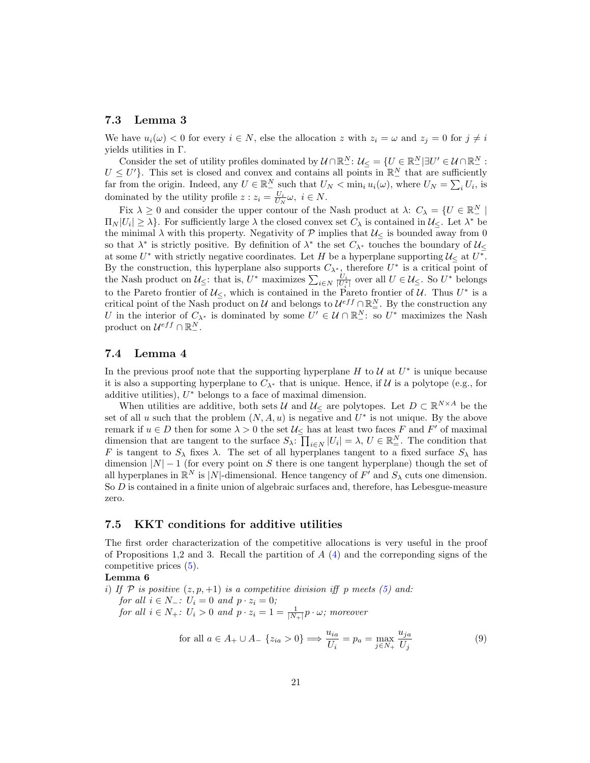## 7.3 Lemma 3

We have  $u_i(\omega) < 0$  for every  $i \in N$ , else the allocation z with  $z_i = \omega$  and  $z_j = 0$  for  $j \neq i$ yields utilities in Γ.

Consider the set of utility profiles dominated by  $\mathcal{U} \cap \mathbb{R}^N_+$ :  $\mathcal{U}_{\leq} = \{U \in \mathbb{R}^N_+ | \exists U' \in \mathcal{U} \cap \mathbb{R}^N_-$ :  $U \leq U'$ . This set is closed and convex and contains all points in  $\mathbb{R}^N_-$  that are sufficiently far from the origin. Indeed, any  $U \in \mathbb{R}^N_-$  such that  $U_N < \min_i u_i(\omega)$ , where  $U_N = \sum_i U_i$ , is dominated by the utility profile  $z : z_i = \frac{U_i}{U_N}\omega, i \in N$ .

Fix  $\lambda \geq 0$  and consider the upper contour of the Nash product at  $\lambda: C_{\lambda} = \{U \in \mathbb{R}^N \mid \lambda\geq 0\}$  $\Pi_N|U_i|\geq \lambda$ . For sufficiently large  $\lambda$  the closed convex set  $C_\lambda$  is contained in  $\mathcal{U}_{\leq}$ . Let  $\lambda^*$  be the minimal  $\lambda$  with this property. Negativity of  $\mathcal P$  implies that  $\mathcal U_{\leq}$  is bounded away from 0 so that  $\lambda^*$  is strictly positive. By definition of  $\lambda^*$  the set  $C_{\lambda^*}$  touches the boundary of  $\mathcal{U}_{\leq}$ at some  $U^*$  with strictly negative coordinates. Let H be a hyperplane supporting  $\mathcal{U}_{\leq}$  at  $U^*$ . By the construction, this hyperplane also supports  $C_{\lambda^*}$ , therefore  $U^*$  is a critical point of the Nash product on  $\mathcal{U}_{\leq}$ : that is,  $U^*$  maximizes  $\sum_{i\in N} \frac{U_i}{|U_i^*|}$  over all  $U \in \mathcal{U}_{\leq}$ . So  $U^*$  belongs to the Pareto frontier of  $\mathcal{U}_{\leq}$ , which is contained in the Pareto frontier of  $\mathcal{U}$ . Thus  $U^*$  is a critical point of the Nash product on U and belongs to  $\mathcal{U}^{eff} \cap \mathbb{R}^N_+$ . By the construction any U in the interior of  $C_{\lambda^*}$  is dominated by some  $U' \in \mathcal{U} \cap \mathbb{R}^N$ : so  $U^*$  maximizes the Nash product on  $\mathcal{U}^{eff} \cap \mathbb{R}^N_-$ .

### 7.4 Lemma 4

In the previous proof note that the supporting hyperplane  $H$  to  $\mathcal U$  at  $U^*$  is unique because it is also a supporting hyperplane to  $C_{\lambda^*}$  that is unique. Hence, if  $\mathcal U$  is a polytope (e.g., for additive utilities),  $U^*$  belongs to a face of maximal dimension.

When utilities are additive, both sets U and  $\mathcal{U}_{\leq}$  are polytopes. Let  $D \subset \mathbb{R}^{N \times A}$  be the set of all u such that the problem  $(N, A, u)$  is negative and  $U^*$  is not unique. By the above remark if  $u \in D$  then for some  $\lambda > 0$  the set  $\mathcal{U}_{\leq \lambda}$  has at least two faces F and F' of maximal dimension that are tangent to the surface  $S_{\lambda}$ :  $\prod_{i \in N} |U_i| = \lambda$ ,  $U \in \mathbb{R}^N_+$ . The condition that F is tangent to  $S_\lambda$  fixes  $\lambda$ . The set of all hyperplanes tangent to a fixed surface  $S_\lambda$  has dimension  $|N| - 1$  (for every point on S there is one tangent hyperplane) though the set of all hyperplanes in  $\mathbb{R}^N$  is |N|-dimensional. Hence tangency of  $F'$  and  $S_\lambda$  cuts one dimension. So D is contained in a finite union of algebraic surfaces and, therefore, has Lebesgue-measure zero.

## 7.5 KKT conditions for additive utilities

The first order characterization of the competitive allocations is very useful in the proof of Propositions 1,2 and 3. Recall the partition of  $A(4)$  $A(4)$  and the correponding signs of the competitive prices [\(5\)](#page-10-1).

## Lemma 6

i) If P is positive  $(z, p, +1)$  is a competitive division iff p meets [\(5\)](#page-10-1) and: for all  $i \in N_-\colon U_i = 0$  and  $p \cdot z_i = 0$ ;

for all  $i \in N_+$ :  $U_i > 0$  and  $p \cdot z_i = 1 = \frac{1}{|N_+|} p \cdot \omega$ ; moreover

<span id="page-20-0"></span>
$$
\text{for all } a \in A_+ \cup A_- \{z_{ia} > 0\} \Longrightarrow \frac{u_{ia}}{U_i} = p_a = \max_{j \in N_+} \frac{u_{ja}}{U_j} \tag{9}
$$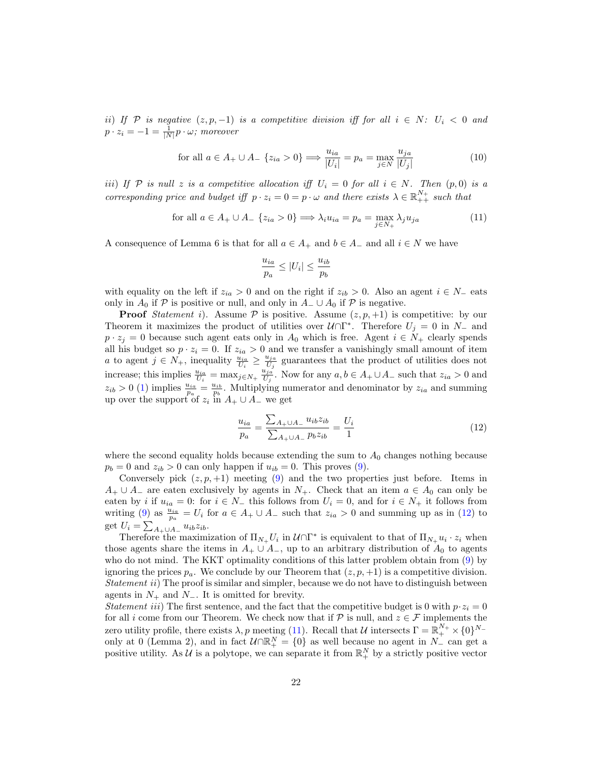ii) If P is negative  $(z, p, -1)$  is a competitive division iff for all  $i \in N$ :  $U_i < 0$  and  $p \cdot z_i = -1 = \frac{1}{|N|} p \cdot \omega;$  moreover

<span id="page-21-2"></span>
$$
\text{for all } a \in A_+ \cup A_- \{z_{ia} > 0\} \Longrightarrow \frac{u_{ia}}{|U_i|} = p_a = \max_{j \in N} \frac{u_{ja}}{|U_j|} \tag{10}
$$

iii) If P is null z is a competitive allocation iff  $U_i = 0$  for all  $i \in N$ . Then  $(p, 0)$  is a corresponding price and budget iff  $p \cdot z_i = 0 = p \cdot \omega$  and there exists  $\lambda \in \mathbb{R}_{++}^{N_+}$  such that

<span id="page-21-1"></span>for all 
$$
a \in A_+ \cup A_- \{z_{ia} > 0\} \Longrightarrow \lambda_i u_{ia} = p_a = \max_{j \in N_+} \lambda_j u_{ja}
$$
 (11)

A consequence of Lemma 6 is that for all  $a \in A_+$  and  $b \in A_-$  and all  $i \in N$  we have

$$
\frac{u_{ia}}{p_a} \le |U_i| \le \frac{u_{ib}}{p_b}
$$

with equality on the left if  $z_{ia} > 0$  and on the right if  $z_{ib} > 0$ . Also an agent  $i \in N_-\$ eats only in  $A_0$  if P is positive or null, and only in  $A_-\cup A_0$  if P is negative.

**Proof** Statement i). Assume  $P$  is positive. Assume  $(z, p, +1)$  is competitive: by our Theorem it maximizes the product of utilities over  $\mathcal{U} \cap \Gamma^*$ . Therefore  $U_j = 0$  in  $N_-$  and  $p \cdot z_j = 0$  because such agent eats only in  $A_0$  which is free. Agent  $i \in N_+$  clearly spends all his budget so  $p \cdot z_i = 0$ . If  $z_{ia} > 0$  and we transfer a vanishingly small amount of item *a* to agent  $j \in N_+$ , inequality  $\frac{u_{ia}}{U_i} \geq \frac{u_{ja}}{U_j}$  $\frac{u_{ja}}{U_j}$  guarantees that the product of utilities does not increase; this implies  $\frac{u_{ia}}{U_i} = \max_{j \in N_+} \frac{u_{ja}}{U_j}$  $\frac{u_{ja}}{U_j}$ . Now for any  $a, b \in A_+ \cup A_-$  such that  $z_{ia} > 0$  and  $z_{ib} > 0$  [\(1\)](#page-8-0) implies  $\frac{u_{ia}}{p_a} = \frac{u_{ib}}{p_b}$ . Multiplying numerator and denominator by  $z_{ia}$  and summing up over the support of  $z_i$  in  $A_+ \cup A_-$  we get

<span id="page-21-0"></span>
$$
\frac{u_{ia}}{p_a} = \frac{\sum_{A_+ \cup A_-} u_{ib} z_{ib}}{\sum_{A_+ \cup A_-} p_b z_{ib}} = \frac{U_i}{1}
$$
(12)

where the second equality holds because extending the sum to  $A_0$  changes nothing because  $p_b = 0$  and  $z_{ib} > 0$  can only happen if  $u_{ib} = 0$ . This proves [\(9\)](#page-20-0).

Conversely pick  $(z, p, +1)$  meeting [\(9\)](#page-20-0) and the two properties just before. Items in  $A_+ \cup A_-$  are eaten exclusively by agents in  $N_+$ . Check that an item  $a \in A_0$  can only be eaten by i if  $u_{ia} = 0$ : for  $i \in N_-\$  this follows from  $U_i = 0$ , and for  $i \in N_+$  it follows from writing [\(9\)](#page-20-0) as  $\frac{u_{ia}}{p_a} = U_i$  for  $a \in A_+ \cup A_-$  such that  $z_{ia} > 0$  and summing up as in [\(12\)](#page-21-0) to get  $U_i = \sum_{A_+ \cup A_-} u_{ib} z_{ib}.$ 

Therefore the maximization of  $\Pi_{N_+} U_i$  in  $\mathcal{U} \cap \Gamma^*$  is equivalent to that of  $\Pi_{N_+} u_i \cdot z_i$  when those agents share the items in  $A_+ \cup A_-$ , up to an arbitrary distribution of  $A_0$  to agents who do not mind. The KKT optimality conditions of this latter problem obtain from [\(9\)](#page-20-0) by ignoring the prices  $p_a$ . We conclude by our Theorem that  $(z, p, +1)$  is a competitive division. Statement ii) The proof is similar and simpler, because we do not have to distinguish between agents in  $N_+$  and  $N_-$ . It is omitted for brevity.

*Statement iii*) The first sentence, and the fact that the competitive budget is 0 with  $p \cdot z_i = 0$ for all i come from our Theorem. We check now that if  $P$  is null, and  $z \in \mathcal{F}$  implements the zero utility profile, there exists  $\lambda, p$  meeting [\(11\)](#page-21-1). Recall that  $\mathcal U$  intersects  $\Gamma = \mathbb R^{N_+}_+ \times \{0\}^{N_-}$ only at 0 (Lemma 2), and in fact  $\mathcal{U} \cap \mathbb{R}^N_+ = \{0\}$  as well because no agent in  $N_-$  can get a positive utility. As  $\mathcal U$  is a polytope, we can separate it from  $\mathbb R_+^N$  by a strictly positive vector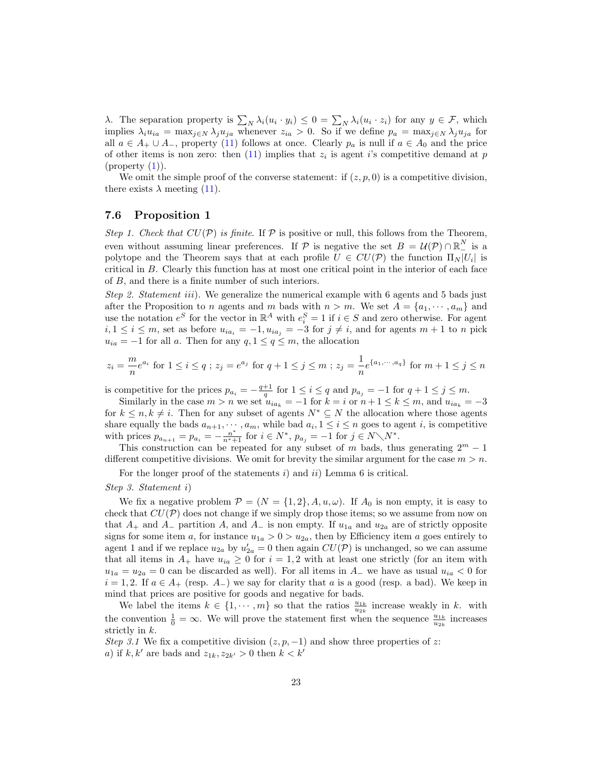λ. The separation property is  $\sum_N \lambda_i(u_i \cdot y_i) \leq 0 = \sum_N \lambda_i(u_i \cdot z_i)$  for any  $y \in \mathcal{F}$ , which implies  $\lambda_i u_{ia} = \max_{j \in N} \lambda_j u_{ja}$  whenever  $z_{ia} > 0$ . So if we define  $p_a = \max_{j \in N} \lambda_j u_{ja}$  for all  $a \in A_+ \cup A_-$ , property [\(11\)](#page-21-1) follows at once. Clearly  $p_a$  is null if  $a \in A_0$  and the price of other items is non zero: then  $(11)$  implies that  $z_i$  is agent i's competitive demand at p  $(property (1)).$  $(property (1)).$  $(property (1)).$ 

We omit the simple proof of the converse statement: if  $(z, p, 0)$  is a competitive division, there exists  $\lambda$  meeting [\(11\)](#page-21-1).

## 7.6 Proposition 1

Step 1. Check that  $CU(\mathcal{P})$  is finite. If  $\mathcal P$  is positive or null, this follows from the Theorem, even without assuming linear preferences. If  $\mathcal P$  is negative the set  $B = \mathcal U(\mathcal P) \cap \mathbb R^N_-$  is a polytope and the Theorem says that at each profile  $U \in CU(\mathcal{P})$  the function  $\Pi_N|U_i|$  is critical in B. Clearly this function has at most one critical point in the interior of each face of B, and there is a finite number of such interiors.

Step 2. Statement iii). We generalize the numerical example with 6 agents and 5 bads just after the Proposition to n agents and m bads with  $n > m$ . We set  $A = \{a_1, \dots, a_m\}$  and use the notation  $e^S$  for the vector in  $\mathbb{R}^A$  with  $e_i^S = 1$  if  $i \in S$  and zero otherwise. For agent  $i, 1 \le i \le m$ , set as before  $u_{ia_i} = -1, u_{ia_j} = -3$  for  $j \ne i$ , and for agents  $m + 1$  to n pick  $u_{ia} = -1$  for all a. Then for any  $q, 1 \leq q \leq m$ , the allocation

$$
z_i = \frac{m}{n}e^{a_i} \text{ for } 1 \le i \le q ; z_j = e^{a_j} \text{ for } q+1 \le j \le m ; z_j = \frac{1}{n}e^{\{a_1, \dots, a_q\}} \text{ for } m+1 \le j \le n
$$

is competitive for the prices  $p_{a_i} = -\frac{q+1}{q}$  for  $1 \leq i \leq q$  and  $p_{a_j} = -1$  for  $q+1 \leq j \leq m$ .

Similarly in the case  $m > n$  we set  $u_{ia_k} = -1$  for  $k = i$  or  $n + 1 \leq k \leq m$ , and  $u_{ia_k} = -3$ for  $k \leq n, k \neq i$ . Then for any subset of agents  $N^* \subseteq N$  the allocation where those agents share equally the bads  $a_{n+1}, \dots, a_m$ , while bad  $a_i, 1 \leq i \leq n$  goes to agent i, is competitive with prices  $p_{a_{n+1}} = p_{a_i} = -\frac{n^*}{n^*+1}$  for  $i \in N^*$ ,  $p_{a_j} = -1$  for  $j \in N \setminus N^*$ .

This construction can be repeated for any subset of m bads, thus generating  $2^m - 1$ different competitive divisions. We omit for brevity the similar argument for the case  $m > n$ .

For the longer proof of the statements  $i$ ) and  $ii$ ) Lemma 6 is critical.

### Step 3. Statement i)

We fix a negative problem  $\mathcal{P} = (N = \{1, 2\}, A, u, \omega)$ . If  $A_0$  is non empty, it is easy to check that  $CU(\mathcal{P})$  does not change if we simply drop those items; so we assume from now on that  $A_+$  and  $A_-$  partition A, and  $A_-$  is non empty. If  $u_{1a}$  and  $u_{2a}$  are of strictly opposite signs for some item a, for instance  $u_{1a} > 0 > u_{2a}$ , then by Efficiency item a goes entirely to agent 1 and if we replace  $u_{2a}$  by  $u'_{2a} = 0$  then again  $CU(\mathcal{P})$  is unchanged, so we can assume that all items in  $A_+$  have  $u_{ia} \geq 0$  for  $i = 1, 2$  with at least one strictly (for an item with  $u_{1a} = u_{2a} = 0$  can be discarded as well). For all items in  $A_{-}$  we have as usual  $u_{ia} < 0$  for  $i = 1, 2$ . If  $a \in A_+$  (resp.  $A_-$ ) we say for clarity that a is a good (resp. a bad). We keep in mind that prices are positive for goods and negative for bads.

We label the items  $k \in \{1, \dots, m\}$  so that the ratios  $\frac{u_{1k}}{u_{2k}}$  increase weakly in k. with the convention  $\frac{1}{0} = \infty$ . We will prove the statement first when the sequence  $\frac{u_{1k}}{u_{2k}}$  increases strictly in k.

Step 3.1 We fix a competitive division  $(z, p, -1)$  and show three properties of z: a) if k, k' are bads and  $z_{1k}$ ,  $z_{2k'} > 0$  then  $k < k'$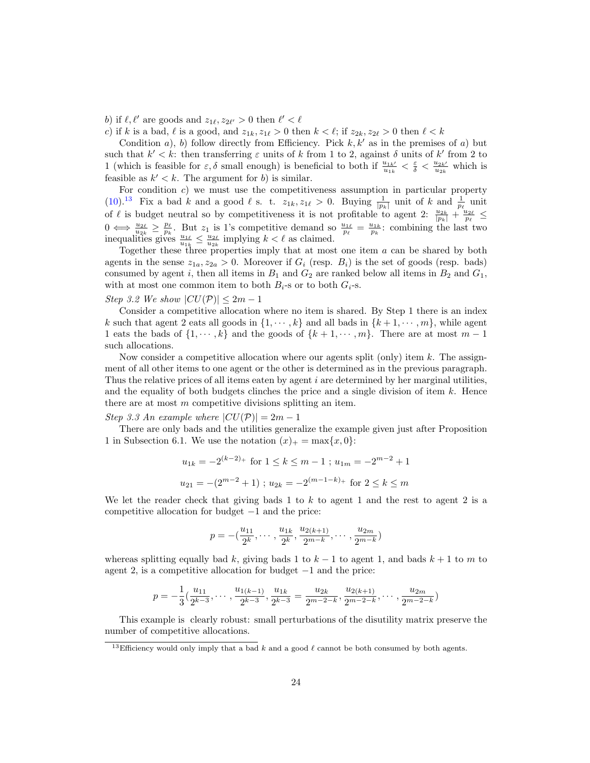b) if  $\ell, \ell'$  are goods and  $z_{1\ell}, z_{2\ell'} > 0$  then  $\ell' < \ell$ 

c) if k is a bad,  $\ell$  is a good, and  $z_{1k}, z_{1\ell} > 0$  then  $k < \ell$ ; if  $z_{2k}, z_{2\ell} > 0$  then  $\ell < k$ 

Condition a), b) follow directly from Efficiency. Pick  $k, k'$  as in the premises of a) but such that  $k' < k$ : then transferring  $\varepsilon$  units of k from 1 to 2, against  $\delta$  units of k' from 2 to 1 (which is feasible for  $\varepsilon, \delta$  small enough) is beneficial to both if  $\frac{u_{1k'}}{u_{1k}} < \frac{\varepsilon}{\delta} < \frac{u_{2k'}}{u_{2k}}$  which is feasible as  $k' < k$ . The argument for b) is similar.

For condition  $c$ ) we must use the competitiveness assumption in particular property [\(10\)](#page-21-2).<sup>[13](#page-23-0)</sup> Fix a bad k and a good  $\ell$  s. t.  $z_{1k}$ ,  $z_{1\ell} > 0$ . Buying  $\frac{1}{|p_k|}$  unit of k and  $\frac{1}{p_\ell}$  unit of  $\ell$  is budget neutral so by competitiveness it is not profitable to agent 2:  $\frac{u_{2k}}{|p_k|} + \frac{u_{2\ell}}{p_{\ell}} \leq$  $0 \iff \frac{u_{2\ell}}{u_{2k}} \ge \frac{p_{\ell}}{p_k}$ . But  $z_1$  is 1's competitive demand so  $\frac{u_{1\ell}}{p_{\ell}} = \frac{u_{1k}}{p_k}$ : combining the last two inequalities gives  $\frac{u_{1\ell}}{u_{1k}} \leq \frac{u_{2\ell}}{u_{2k}}$  implying  $k < \ell$  as claimed.

Together these three properties imply that at most one item a can be shared by both agents in the sense  $z_{1a}$ ,  $z_{2a} > 0$ . Moreover if  $G_i$  (resp.  $B_i$ ) is the set of goods (resp. bads) consumed by agent i, then all items in  $B_1$  and  $G_2$  are ranked below all items in  $B_2$  and  $G_1$ , with at most one common item to both  $B_i$ -s or to both  $G_i$ -s.

### Step 3.2 We show  $|CU(\mathcal{P})| \leq 2m-1$

Consider a competitive allocation where no item is shared. By Step 1 there is an index k such that agent 2 eats all goods in  $\{1, \dots, k\}$  and all bads in  $\{k+1, \dots, m\}$ , while agent 1 eats the bads of  $\{1, \dots, k\}$  and the goods of  $\{k+1, \dots, m\}$ . There are at most  $m-1$ such allocations.

Now consider a competitive allocation where our agents split (only) item  $k$ . The assignment of all other items to one agent or the other is determined as in the previous paragraph. Thus the relative prices of all items eaten by agent  $i$  are determined by her marginal utilities, and the equality of both budgets clinches the price and a single division of item  $k$ . Hence there are at most m competitive divisions splitting an item.

Step 3.3 An example where  $|CU(\mathcal{P})|=2m-1$ 

There are only bads and the utilities generalize the example given just after Proposition 1 in Subsection 6.1. We use the notation  $(x)_+ = \max\{x, 0\}$ :

$$
u_{1k} = -2^{(k-2)+}
$$
 for  $1 \le k \le m-1$ ;  $u_{1m} = -2^{m-2} + 1$   
 $u_{21} = -(2^{m-2} + 1)$ ;  $u_{2k} = -2^{(m-1-k)+}$  for  $2 \le k \le m$ 

We let the reader check that giving bads 1 to k to agent 1 and the rest to agent 2 is a competitive allocation for budget −1 and the price:

$$
p = -(\frac{u_{11}}{2^k}, \cdots, \frac{u_{1k}}{2^k}, \frac{u_{2(k+1)}}{2^{m-k}}, \cdots, \frac{u_{2m}}{2^{m-k}})
$$

whereas splitting equally bad k, giving bads 1 to  $k-1$  to agent 1, and bads  $k+1$  to m to agent 2, is a competitive allocation for budget −1 and the price:

$$
p = -\frac{1}{3}(\frac{u_{11}}{2^{k-3}}, \cdots, \frac{u_{1(k-1)}}{2^{k-3}}, \frac{u_{1k}}{2^{k-3}} = \frac{u_{2k}}{2^{m-2-k}}, \frac{u_{2(k+1)}}{2^{m-2-k}}, \cdots, \frac{u_{2m}}{2^{m-2-k}})
$$

This example is clearly robust: small perturbations of the disutility matrix preserve the number of competitive allocations.

<span id="page-23-0"></span><sup>&</sup>lt;sup>13</sup>Efficiency would only imply that a bad k and a good  $\ell$  cannot be both consumed by both agents.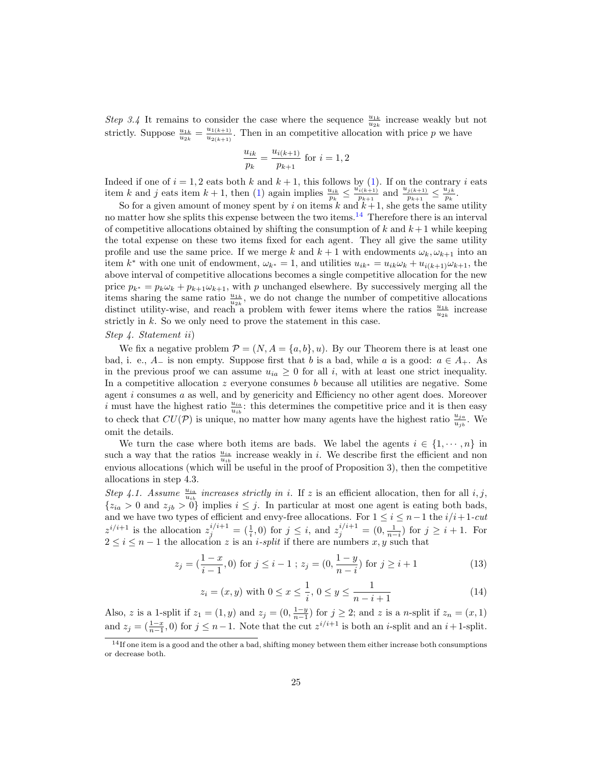Step 3.4 It remains to consider the case where the sequence  $\frac{u_{1k}}{u_{2k}}$  increase weakly but not strictly. Suppose  $\frac{u_{1k}}{u_{2k}} = \frac{u_{1(k+1)}}{u_{2(k+1)}}$  $\frac{u_{1(k+1)}}{u_{2(k+1)}}$ . Then in an competitive allocation with price p we have

$$
\frac{u_{ik}}{p_k} = \frac{u_{i(k+1)}}{p_{k+1}}
$$
 for  $i = 1, 2$ 

Indeed if one of  $i = 1, 2$  eats both k and  $k + 1$ , this follows by [\(1\)](#page-8-0). If on the contrary i eats item k and j eats item  $k+1$ , then [\(1\)](#page-8-0) again implies  $\frac{u_{ik}}{p_k} \leq \frac{u_{i(k+1)}}{p_{k+1}}$  $\frac{u_{j(k+1)}}{p_{k+1}}$  and  $\frac{u_{j(k+1)}}{p_{k+1}} \leq \frac{u_{jk}}{p_k}$  $\frac{\mu_{jk}}{p_k}$  .

So for a given amount of money spent by i on items  $k$  and  $k+1$ , she gets the same utility no matter how she splits this expense between the two items.<sup>[14](#page-24-0)</sup> Therefore there is an interval of competitive allocations obtained by shifting the consumption of k and  $k+1$  while keeping the total expense on these two items fixed for each agent. They all give the same utility profile and use the same price. If we merge k and  $k + 1$  with endowments  $\omega_k, \omega_{k+1}$  into an item  $k^*$  with one unit of endowment,  $\omega_{k^*} = 1$ , and utilities  $u_{ik^*} = u_{ik}\omega_k + u_{i(k+1)}\omega_{k+1}$ , the above interval of competitive allocations becomes a single competitive allocation for the new price  $p_{k^*} = p_k \omega_k + p_{k+1} \omega_{k+1}$ , with p unchanged elsewhere. By successively merging all the items sharing the same ratio  $\frac{u_{1k}}{u_{2k}}$ , we do not change the number of competitive allocations distinct utility-wise, and reach a problem with fewer items where the ratios  $\frac{u_{1k}}{u_{2k}}$  increase strictly in  $k$ . So we only need to prove the statement in this case.

## Step 4. Statement ii)

We fix a negative problem  $\mathcal{P} = (N, A = \{a, b\}, u)$ . By our Theorem there is at least one bad, i. e.,  $A_{-}$  is non empty. Suppose first that b is a bad, while a is a good:  $a \in A_{+}$ . As in the previous proof we can assume  $u_{ia} \geq 0$  for all i, with at least one strict inequality. In a competitive allocation  $z$  everyone consumes b because all utilities are negative. Some agent i consumes a as well, and by genericity and Efficiency no other agent does. Moreover i must have the highest ratio  $\frac{u_{ia}}{u_{ib}}$ : this determines the competitive price and it is then easy to check that  $CU(\mathcal{P})$  is unique, no matter how many agents have the highest ratio  $\frac{u_{ja}}{u_{jb}}$ . We omit the details.

We turn the case where both items are bads. We label the agents  $i \in \{1, \dots, n\}$  in such a way that the ratios  $\frac{u_{ia}}{u_{ib}}$  increase weakly in i. We describe first the efficient and non envious allocations (which will be useful in the proof of Proposition 3), then the competitive allocations in step 4.3.

Step 4.1. Assume  $\frac{u_{ia}}{u_{ib}}$  increases strictly in i. If z is an efficient allocation, then for all i, j,  ${z_{ia} > 0$  and  $z_{jb} > 0$  implies  $i \leq j$ . In particular at most one agent is eating both bads, and we have two types of efficient and envy-free allocations. For  $1 \leq i \leq n-1$  the  $i/i+1$ -cut  $z^{i/i+1}$  is the allocation  $z_j^{i/i+1} = (\frac{1}{i}, 0)$  for  $j \leq i$ , and  $z_j^{i/i+1} = (0, \frac{1}{n-i})$  for  $j \geq i+1$ . For  $2 \leq i \leq n-1$  the allocation z is an *i-split* if there are numbers x, y such that

<span id="page-24-1"></span>
$$
z_j = \left(\frac{1-x}{i-1}, 0\right) \text{ for } j \le i-1 \text{ ; } z_j = \left(0, \frac{1-y}{n-i}\right) \text{ for } j \ge i+1 \tag{13}
$$

<span id="page-24-2"></span>
$$
z_i = (x, y) \text{ with } 0 \le x \le \frac{1}{i}, 0 \le y \le \frac{1}{n - i + 1} \tag{14}
$$

Also, z is a 1-split if  $z_1 = (1, y)$  and  $z_j = (0, \frac{1-y}{n-1})$  for  $j \geq 2$ ; and z is a n-split if  $z_n = (x, 1)$ and  $z_j = (\frac{1-x}{n-1}, 0)$  for  $j \leq n-1$ . Note that the cut  $z^{i/i+1}$  is both an i-split and an  $i+1$ -split.

<span id="page-24-0"></span> $14$ If one item is a good and the other a bad, shifting money between them either increase both consumptions or decrease both.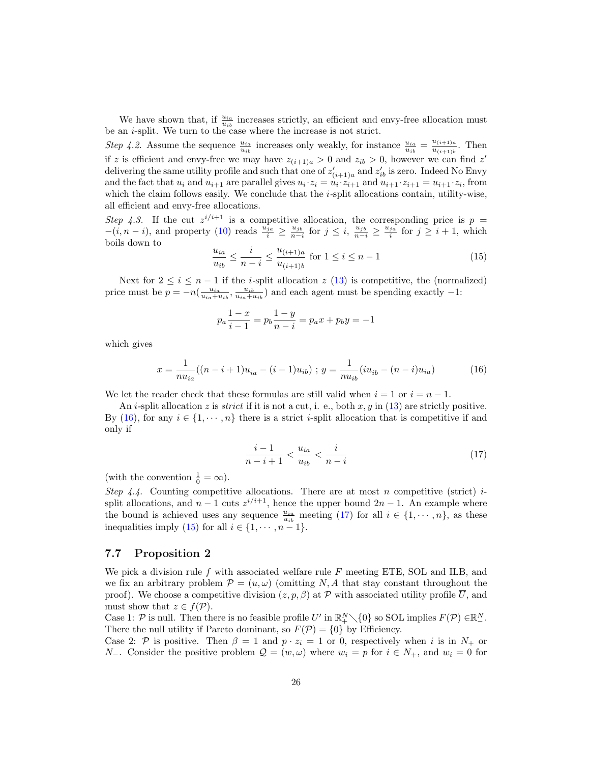We have shown that, if  $\frac{u_{ia}}{u_{ib}}$  increases strictly, an efficient and envy-free allocation must be an  $i$ -split. We turn to the case where the increase is not strict.

Step 4.2. Assume the sequence  $\frac{u_{ia}}{u_{ib}}$  increases only weakly, for instance  $\frac{u_{ia}}{u_{ib}} = \frac{u_{(i+1)a}}{u_{(i+1)b}}$  $rac{u_{(i+1)a}}{u_{(i+1)b}}$ . Then if z is efficient and envy-free we may have  $z_{(i+1)a} > 0$  and  $z_{ib} > 0$ , however we can find z' delivering the same utility profile and such that one of  $z'_{(i+1)a}$  and  $z'_{ib}$  is zero. Indeed No Envy and the fact that  $u_i$  and  $u_{i+1}$  are parallel gives  $u_i \cdot z_i = u_i \cdot z_{i+1}$  and  $u_{i+1} \cdot z_{i+1} = u_{i+1} \cdot z_i$ , from which the claim follows easily. We conclude that the  $i$ -split allocations contain, utility-wise, all efficient and envy-free allocations.

Step 4.3. If the cut  $z^{i/i+1}$  is a competitive allocation, the corresponding price is  $p =$  $-(i, n-i)$ , and property [\(10\)](#page-21-2) reads  $\frac{u_{j_0}}{i} \geq \frac{u_{jb}}{n-i}$  for  $j \leq i$ ,  $\frac{u_{jb}}{n-i} \geq \frac{u_{ja}}{i}$  for  $j \geq i+1$ , which boils down to

<span id="page-25-2"></span>
$$
\frac{u_{ia}}{u_{ib}} \le \frac{i}{n-i} \le \frac{u_{(i+1)a}}{u_{(i+1)b}} \text{ for } 1 \le i \le n-1
$$
\n(15)

Next for  $2 \leq i \leq n-1$  if the *i*-split allocation z [\(13\)](#page-24-1) is competitive, the (normalized) price must be  $p = -n(\frac{u_{ia}}{u_{ia} + u_{ib}}, \frac{u_{ib}}{u_{ia} + u_{ib}})$  and each agent must be spending exactly  $-1$ :

$$
p_a \frac{1-x}{i-1} = p_b \frac{1-y}{n-i} = p_a x + p_b y = -1
$$

which gives

<span id="page-25-0"></span>
$$
x = \frac{1}{n u_{ia}}((n-i+1)u_{ia} - (i-1)u_{ib}); y = \frac{1}{n u_{ib}}(i u_{ib} - (n-i)u_{ia})
$$
(16)

We let the reader check that these formulas are still valid when  $i = 1$  or  $i = n - 1$ .

An *i*-split allocation z is *strict* if it is not a cut, i. e., both x, y in [\(13\)](#page-24-1) are strictly positive. By [\(16\)](#page-25-0), for any  $i \in \{1, \dots, n\}$  there is a strict *i*-split allocation that is competitive if and only if

<span id="page-25-1"></span>
$$
\frac{i-1}{n-i+1} < \frac{u_{ia}}{u_{ib}} < \frac{i}{n-i} \tag{17}
$$

(with the convention  $\frac{1}{0} = \infty$ ).

Step 4.4. Counting competitive allocations. There are at most n competitive (strict)  $i$ split allocations, and  $n-1$  cuts  $z^{i/i+1}$ , hence the upper bound  $2n-1$ . An example where the bound is achieved uses any sequence  $\frac{u_{ia}}{u_{ib}}$  meeting [\(17\)](#page-25-1) for all  $i \in \{1, \dots, n\}$ , as these inequalities imply [\(15\)](#page-25-2) for all  $i \in \{1, \dots, n-1\}$ .

## 7.7 Proposition 2

We pick a division rule  $f$  with associated welfare rule  $F$  meeting ETE, SOL and ILB, and we fix an arbitrary problem  $\mathcal{P} = (u, \omega)$  (omitting N, A that stay constant throughout the proof). We choose a competitive division  $(z, p, \beta)$  at P with associated utility profile U, and must show that  $z \in f(\mathcal{P})$ .

Case 1: P is null. Then there is no feasible profile U' in  $\mathbb{R}^N_+\setminus\{0\}$  so SOL implies  $F(\mathcal{P})\in\mathbb{R}^N_+$ . There the null utility if Pareto dominant, so  $F(\mathcal{P}) = \{0\}$  by Efficiency.

Case 2: P is positive. Then  $\beta = 1$  and  $p \cdot z_i = 1$  or 0, respectively when i is in  $N_+$  or  $N_-\text{.}$  Consider the positive problem  $\mathcal{Q} = (w, \omega)$  where  $w_i = p$  for  $i \in N_+$ , and  $w_i = 0$  for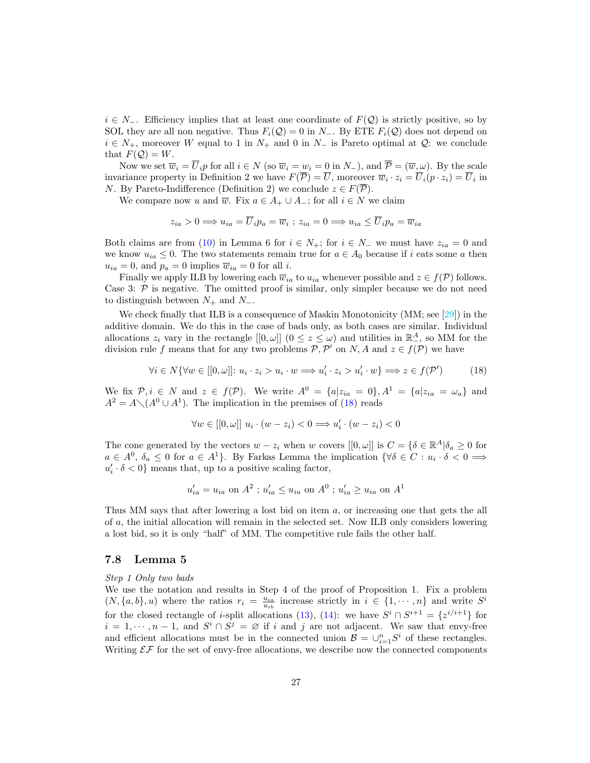$i \in N_-\$ . Efficiency implies that at least one coordinate of  $F(\mathcal{Q})$  is strictly positive, so by SOL they are all non negative. Thus  $F_i(\mathcal{Q}) = 0$  in  $N_-$ . By ETE  $F_i(\mathcal{Q})$  does not depend on  $i \in N_+$ , moreover W equal to 1 in  $N_+$  and 0 in  $N_-$  is Pareto optimal at  $\mathcal{Q}$ : we conclude that  $F(Q) = W$ .

Now we set  $\overline{w}_i = \overline{U}_i p$  for all  $i \in N$  (so  $\overline{w}_i = w_i = 0$  in  $N_-$ ), and  $\overline{\mathcal{P}} = (\overline{w}, \omega)$ . By the scale invariance property in Definition 2 we have  $F(\overline{P}) = \overline{U}$ , moreover  $\overline{w}_i \cdot z_i = \overline{U}_i(p \cdot z_i) = \overline{U}_i$  in *N*. By Pareto-Indifference (Definition 2) we conclude  $z \in F(\overline{P})$ .

We compare now u and  $\overline{w}$ . Fix  $a \in A_+ \cup A_-$ ; for all  $i \in N$  we claim

$$
z_{ia} > 0 \Longrightarrow u_{ia} = \overline{U}_i p_a = \overline{w}_i \ ; z_{ia} = 0 \Longrightarrow u_{ia} \le \overline{U}_i p_a = \overline{w}_{ia}
$$

Both claims are from [\(10\)](#page-21-2) in Lemma 6 for  $i \in N_+$ ; for  $i \in N_-$  we must have  $z_{ia} = 0$  and we know  $u_{ia} \leq 0$ . The two statements remain true for  $a \in A_0$  because if i eats some a then  $u_{ia} = 0$ , and  $p_a = 0$  implies  $\overline{w}_{ia} = 0$  for all *i*.

Finally we apply ILB by lowering each  $\overline{w}_{ia}$  to  $u_{ia}$  whenever possible and  $z \in f(\mathcal{P})$  follows. Case 3:  $P$  is negative. The omitted proof is similar, only simpler because we do not need to distinguish between  $N_+$  and  $N_-$ .

We check finally that ILB is a consequence of Maskin Monotonicity (MM; see [\[29\]](#page-31-15)) in the additive domain. We do this in the case of bads only, as both cases are similar. Individual allocations  $z_i$  vary in the rectangle  $[[0, \omega]]$   $(0 \le z \le \omega)$  and utilities in  $\mathbb{R}^A_-$ , so MM for the division rule f means that for any two problems  $P, P'$  on N, A and  $z \in f(P)$  we have

<span id="page-26-0"></span>
$$
\forall i \in N \{ \forall w \in [[0, \omega]]: u_i \cdot z_i > u_i \cdot w \Longrightarrow u'_i \cdot z_i > u'_i \cdot w \} \Longrightarrow z \in f(\mathcal{P}')
$$
(18)

We fix  $\mathcal{P}, i \in N$  and  $z \in f(\mathcal{P})$ . We write  $A^0 = \{a | z_{ia} = 0\}, A^1 = \{a | z_{ia} = \omega_a\}$  and  $A^2 = A \setminus (A^0 \cup A^1)$ . The implication in the premises of [\(18\)](#page-26-0) reads

$$
\forall w \in [[0, \omega]] \ u_i \cdot (w - z_i) < 0 \Longrightarrow u'_i \cdot (w - z_i) < 0
$$

The cone generated by the vectors  $w - z_i$  when w covers  $[[0, \omega]]$  is  $C = \{ \delta \in \mathbb{R}^A | \delta_a \geq 0 \text{ for } a \in \mathbb{R}^A \mid \delta_a \geq 0 \text{ for } a \in \mathbb{R}^A \}$  $a \in A^0$ ,  $\delta_a \leq 0$  for  $a \in A^1$ . By Farkas Lemma the implication  $\{\forall \delta \in C : u_i \cdot \delta < 0 \implies$  $u'_i \cdot \delta < 0$ } means that, up to a positive scaling factor,

$$
u'_{ia} = u_{ia}
$$
 on  $A^2$ ;  $u'_{ia} \leq u_{ia}$  on  $A^0$ ;  $u'_{ia} \geq u_{ia}$  on  $A^1$ 

Thus MM says that after lowering a lost bid on item a, or increasing one that gets the all of a, the initial allocation will remain in the selected set. Now ILB only considers lowering a lost bid, so it is only "half" of MM. The competitive rule fails the other half.

### 7.8 Lemma 5

Step 1 Only two bads

We use the notation and results in Step 4 of the proof of Proposition 1. Fix a problem  $(N, \{a, b\}, u)$  where the ratios  $r_i = \frac{u_{ia}}{u_{ib}}$  increase strictly in  $i \in \{1, \dots, n\}$  and write  $S^i$ for the closed rectangle of *i*-split allocations [\(13\)](#page-24-1), [\(14\)](#page-24-2): we have  $S^i \cap S^{i+1} = \{z^{i/i+1}\}\$ for  $i = 1, \dots, n-1$ , and  $S^i \cap S^j = \emptyset$  if i and j are not adjacent. We saw that envy-free and efficient allocations must be in the connected union  $\mathcal{B} = \bigcup_{i=1}^n S^i$  of these rectangles. Writing  $\mathcal{EF}$  for the set of envy-free allocations, we describe now the connected components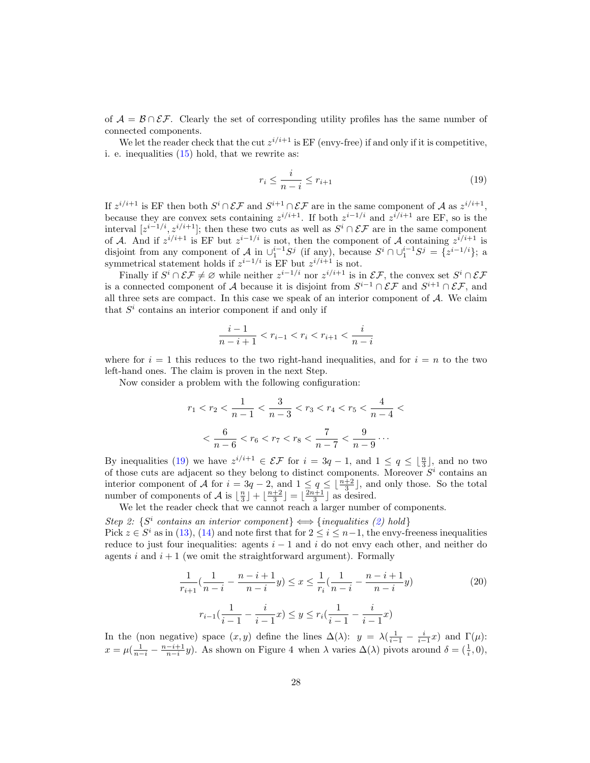of  $\mathcal{A} = \mathcal{B} \cap \mathcal{EF}$ . Clearly the set of corresponding utility profiles has the same number of connected components.

We let the reader check that the cut  $z^{i/i+1}$  is EF (envy-free) if and only if it is competitive, i. e. inequalities [\(15\)](#page-25-2) hold, that we rewrite as:

<span id="page-27-0"></span>
$$
r_i \le \frac{i}{n-i} \le r_{i+1} \tag{19}
$$

If  $z^{i/i+1}$  is EF then both  $S^i \cap \mathcal{EF}$  and  $S^{i+1} \cap \mathcal{EF}$  are in the same component of A as  $z^{i/i+1}$ , because they are convex sets containing  $z^{i/i+1}$ . If both  $z^{i-1/i}$  and  $z^{i/i+1}$  are EF, so is the interval  $[z^{i-1/i}, z^{i/i+1}]$ ; then these two cuts as well as  $S^i \cap \mathcal{EF}$  are in the same component of A. And if  $z^{i/i+1}$  is EF but  $z^{i-1/i}$  is not, then the component of A containing  $z^{i/i+1}$  is disjoint from any component of A in  $\bigcup_{1}^{i-1}S^j$  (if any), because  $S^i \cap \bigcup_{1}^{i-1}S^j = \{z^{i-1/i}\}\;$ a symmetrical statement holds if  $z^{i-1/i}$  is EF but  $z^{i/i+1}$  is not.

Finally if  $S^i \cap \mathcal{EF} \neq \emptyset$  while neither  $z^{i-1/i}$  nor  $z^{i/i+1}$  is in  $\mathcal{EF}$ , the convex set  $S^i \cap \mathcal{EF}$ is a connected component of A because it is disjoint from  $S^{i-1} \cap \mathcal{EF}$  and  $S^{i+1} \cap \mathcal{EF}$ , and all three sets are compact. In this case we speak of an interior component of  $A$ . We claim that  $S<sup>i</sup>$  contains an interior component if and only if

$$
\frac{i-1}{n-i+1} < r_{i-1} < r_i < r_{i+1} < \frac{i}{n-i}
$$

where for  $i = 1$  this reduces to the two right-hand inequalities, and for  $i = n$  to the two left-hand ones. The claim is proven in the next Step.

Now consider a problem with the following configuration:

$$
r_1 < r_2 < \frac{1}{n-1} < \frac{3}{n-3} < r_3 < r_4 < r_5 < \frac{4}{n-4} < \\
&< \frac{6}{n-6} < r_6 < r_7 < r_8 < \frac{7}{n-7} < \frac{9}{n-9} \cdots
$$

By inequalities [\(19\)](#page-27-0) we have  $z^{i/i+1} \in \mathcal{EF}$  for  $i = 3q - 1$ , and  $1 \le q \le \lfloor \frac{n}{3} \rfloor$ , and no two of those cuts are adjacent so they belong to distinct components. Moreover  $S<sup>i</sup>$  contains an interior component of A for  $i = 3q - 2$ , and  $1 \le q \le \lfloor \frac{n+2}{3} \rfloor$ , and only those. So the total number of components of A is  $\lfloor \frac{n}{3} \rfloor + \lfloor \frac{n+2}{3} \rfloor = \lfloor \frac{2n+1}{3} \rfloor$  as desired.

We let the reader check that we cannot reach a larger number of components.

Step 2:  $\{S^i$  contains an interior component $\} \Longleftrightarrow \{inequalities \text{ (2) hold }\}$  $\} \Longleftrightarrow \{inequalities \text{ (2) hold }\}$  $\} \Longleftrightarrow \{inequalities \text{ (2) hold }\}$ Pick  $z \in S^i$  as in [\(13\)](#page-24-1), [\(14\)](#page-24-2) and note first that for  $2 \leq i \leq n-1$ , the envy-freeness inequalities reduce to just four inequalities: agents  $i - 1$  and i do not envy each other, and neither do agents i and  $i + 1$  (we omit the straightforward argument). Formally

<span id="page-27-1"></span>
$$
\frac{1}{r_{i+1}}\left(\frac{1}{n-i} - \frac{n-i+1}{n-i}y\right) \le x \le \frac{1}{r_i}\left(\frac{1}{n-i} - \frac{n-i+1}{n-i}y\right)
$$
\n
$$
r_{i-1}\left(\frac{1}{i-1} - \frac{i}{i-1}x\right) \le y \le r_i\left(\frac{1}{i-1} - \frac{i}{i-1}x\right)
$$
\n(20)

In the (non negative) space  $(x, y)$  define the lines  $\Delta(\lambda)$ :  $y = \lambda(\frac{1}{i-1} - \frac{i}{i-1}x)$  and  $\Gamma(\mu)$ :  $x = \mu(\frac{1}{n-i} - \frac{n-i+1}{n-i}y)$ . As shown on Figure 4 when  $\lambda$  varies  $\Delta(\lambda)$  pivots around  $\delta = (\frac{1}{i}, 0)$ ,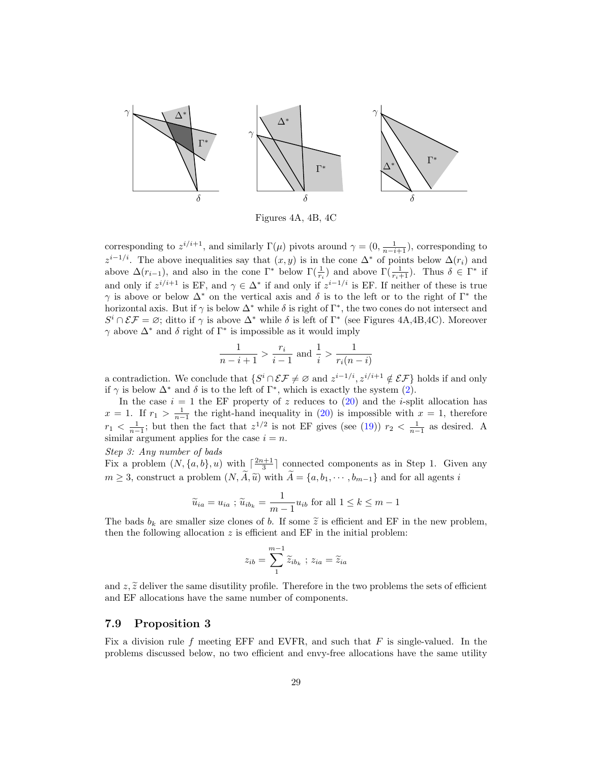

Figures 4A, 4B, 4C

corresponding to  $z^{i/i+1}$ , and similarly  $\Gamma(\mu)$  pivots around  $\gamma = (0, \frac{1}{n-i+1})$ , corresponding to  $z^{i-1/i}$ . The above inequalities say that  $(x, y)$  is in the cone  $\Delta^*$  of points below  $\Delta(r_i)$  and above  $\Delta(r_{i-1})$ , and also in the cone  $\Gamma^*$  below  $\Gamma(\frac{1}{r_i})$  and above  $\Gamma(\frac{1}{r_i+1})$ . Thus  $\delta \in \Gamma^*$  if and only if  $z^{i/i+1}$  is EF, and  $\gamma \in \Delta^*$  if and only if  $z^{i-1/i}$  is EF. If neither of these is true  $\gamma$  is above or below  $\Delta^*$  on the vertical axis and  $\delta$  is to the left or to the right of Γ<sup>\*</sup> the horizontal axis. But if  $\gamma$  is below  $\Delta^*$  while  $\delta$  is right of  $\Gamma^*$ , the two cones do not intersect and  $S^i \cap \mathcal{EF} = \emptyset$ ; ditto if  $\gamma$  is above  $\Delta^*$  while  $\delta$  is left of  $\Gamma^*$  (see Figures 4A,4B,4C). Moreover  $\gamma$  above  $\Delta^*$  and  $\delta$  right of  $\Gamma^*$  is impossible as it would imply

$$
\frac{1}{n-i+1} > \frac{r_i}{i-1} \text{ and } \frac{1}{i} > \frac{1}{r_i(n-i)}
$$

a contradiction. We conclude that  $\{S^i \cap \mathcal{EF} \neq \emptyset \text{ and } z^{i-1/i}, z^{i/i+1} \notin \mathcal{EF}\}\$ holds if and only if  $\gamma$  is below  $\Delta^*$  and  $\delta$  is to the left of  $\Gamma^*$ , which is exactly the system [\(2\)](#page-8-1).

In the case  $i = 1$  the EF property of z reduces to [\(20\)](#page-27-1) and the *i*-split allocation has  $x = 1$ . If  $r_1 > \frac{1}{n-1}$  the right-hand inequality in [\(20\)](#page-27-1) is impossible with  $x = 1$ , therefore  $r_1 < \frac{1}{n-1}$ ; but then the fact that  $z^{1/2}$  is not EF gives (see [\(19\)](#page-27-0))  $r_2 < \frac{1}{n-1}$  as desired. A similar argument applies for the case  $i = n$ .

#### Step 3: Any number of bads

Fix a problem  $(N, \{a, b\}, u)$  with  $\lceil \frac{2n+1}{3} \rceil$  connected components as in Step 1. Given any  $m \geq 3$ , construct a problem  $(N, \widetilde{A}, \widetilde{u})$  with  $\widetilde{A} = \{a, b_1, \cdots, b_{m-1}\}$  and for all agents i

$$
\widetilde{u}_{ia} = u_{ia} ; \widetilde{u}_{ib_k} = \frac{1}{m-1} u_{ib}
$$
 for all  $1 \le k \le m-1$ 

The bads  $b_k$  are smaller size clones of b. If some  $\tilde{z}$  is efficient and EF in the new problem, then the following allocation  $z$  is efficient and  $EF$  in the initial problem:

$$
z_{ib} = \sum_{1}^{m-1} \widetilde{z}_{ib_k} \; ; \; z_{ia} = \widetilde{z}_{ia}
$$

and  $z, \tilde{z}$  deliver the same disutility profile. Therefore in the two problems the sets of efficient and EF allocations have the same number of components.

## 7.9 Proposition 3

Fix a division rule f meeting EFF and EVFR, and such that  $F$  is single-valued. In the problems discussed below, no two efficient and envy-free allocations have the same utility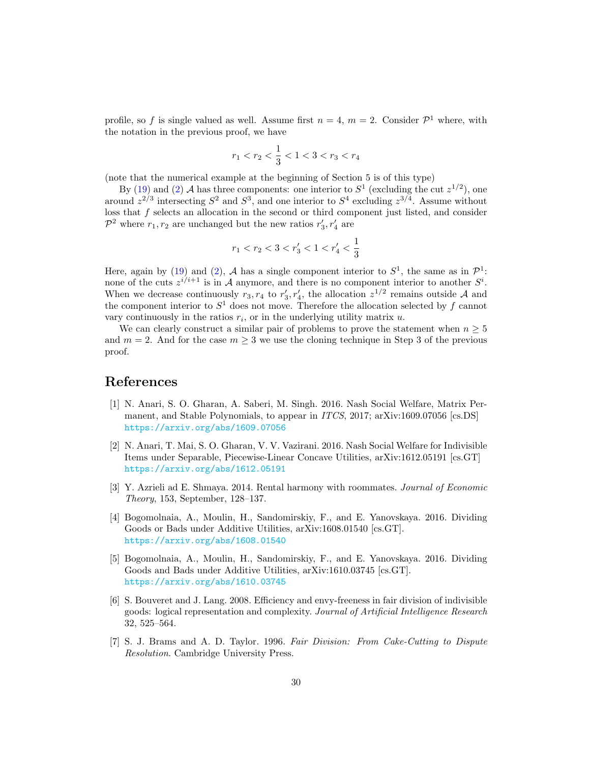profile, so f is single valued as well. Assume first  $n = 4$ ,  $m = 2$ . Consider  $\mathcal{P}^1$  where, with the notation in the previous proof, we have

$$
r_1 < r_2 < \frac{1}{3} < 1 < 3 < r_3 < r_4
$$

(note that the numerical example at the beginning of Section 5 is of this type)

By [\(19\)](#page-27-0) and [\(2\)](#page-8-1) A has three components: one interior to  $S^1$  (excluding the cut  $z^{1/2}$ ), one around  $z^{2/3}$  intersecting  $S^2$  and  $S^3$ , and one interior to  $S^4$  excluding  $z^{3/4}$ . Assume without loss that  $f$  selects an allocation in the second or third component just listed, and consider  $\mathcal{P}^2$  where  $r_1, r_2$  are unchanged but the new ratios  $r'_3, r'_4$  are

$$
r_1
$$

Here, again by [\(19\)](#page-27-0) and [\(2\)](#page-8-1), A has a single component interior to  $S^1$ , the same as in  $\mathcal{P}^1$ : none of the cuts  $z^{i/i+1}$  is in A anymore, and there is no component interior to another  $S^i$ . When we decrease continuously  $r_3, r_4$  to  $r'_3, r'_4$ , the allocation  $z^{1/2}$  remains outside A and the component interior to  $S^1$  does not move. Therefore the allocation selected by f cannot vary continuously in the ratios  $r_i$ , or in the underlying utility matrix  $u$ .

We can clearly construct a similar pair of problems to prove the statement when  $n \geq 5$ and  $m = 2$ . And for the case  $m \geq 3$  we use the cloning technique in Step 3 of the previous proof.

## References

- <span id="page-29-5"></span>[1] N. Anari, S. O. Gharan, A. Saberi, M. Singh. 2016. Nash Social Welfare, Matrix Permanent, and Stable Polynomials, to appear in *ITCS*, 2017; arXiv:1609.07056 [cs.DS] <https://arxiv.org/abs/1609.07056>
- <span id="page-29-6"></span>[2] N. Anari, T. Mai, S. O. Gharan, V. V. Vazirani. 2016. Nash Social Welfare for Indivisible Items under Separable, Piecewise-Linear Concave Utilities, arXiv:1612.05191 [cs.GT] <https://arxiv.org/abs/1612.05191>
- <span id="page-29-4"></span>[3] Y. Azrieli ad E. Shmaya. 2014. Rental harmony with roommates. Journal of Economic Theory, 153, September, 128–137.
- <span id="page-29-1"></span>[4] Bogomolnaia, A., Moulin, H., Sandomirskiy, F., and E. Yanovskaya. 2016. Dividing Goods or Bads under Additive Utilities, arXiv:1608.01540 [cs.GT]. <https://arxiv.org/abs/1608.01540>
- <span id="page-29-2"></span>[5] Bogomolnaia, A., Moulin, H., Sandomirskiy, F., and E. Yanovskaya. 2016. Dividing Goods and Bads under Additive Utilities, arXiv:1610.03745 [cs.GT]. <https://arxiv.org/abs/1610.03745>
- <span id="page-29-3"></span>[6] S. Bouveret and J. Lang. 2008. Efficiency and envy-freeness in fair division of indivisible goods: logical representation and complexity. Journal of Artificial Intelligence Research 32, 525–564.
- <span id="page-29-0"></span>[7] S. J. Brams and A. D. Taylor. 1996. Fair Division: From Cake-Cutting to Dispute Resolution. Cambridge University Press.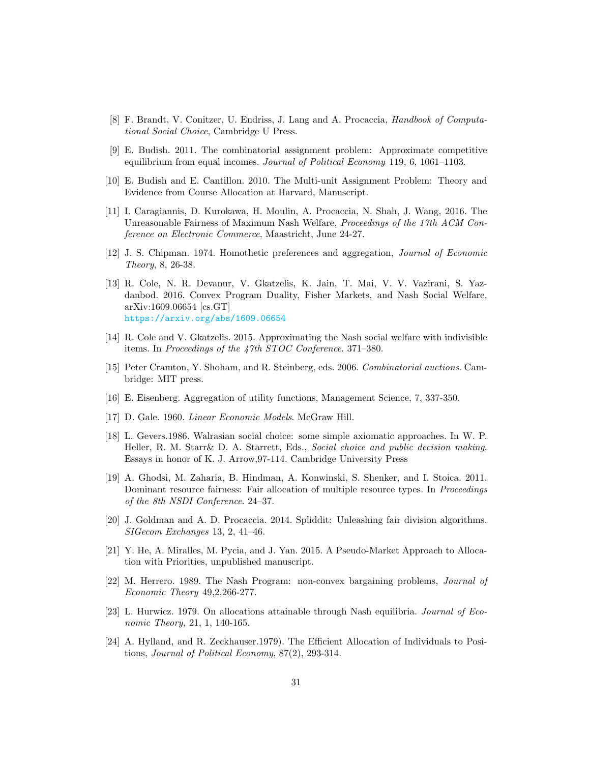- <span id="page-30-8"></span>[8] F. Brandt, V. Conitzer, U. Endriss, J. Lang and A. Procaccia, Handbook of Computational Social Choice, Cambridge U Press.
- <span id="page-30-2"></span>[9] E. Budish. 2011. The combinatorial assignment problem: Approximate competitive equilibrium from equal incomes. Journal of Political Economy 119, 6, 1061–1103.
- <span id="page-30-0"></span>[10] E. Budish and E. Cantillon. 2010. The Multi-unit Assignment Problem: Theory and Evidence from Course Allocation at Harvard, Manuscript.
- <span id="page-30-9"></span>[11] I. Caragiannis, D. Kurokawa, H. Moulin, A. Procaccia, N. Shah, J. Wang, 2016. The Unreasonable Fairness of Maximum Nash Welfare, Proceedings of the 17th ACM Conference on Electronic Commerce, Maastricht, June 24-27.
- <span id="page-30-5"></span>[12] J. S. Chipman. 1974. Homothetic preferences and aggregation, Journal of Economic Theory, 8, 26-38.
- <span id="page-30-11"></span>[13] R. Cole, N. R. Devanur, V. Gkatzelis, K. Jain, T. Mai, V. V. Vazirani, S. Yazdanbod. 2016. Convex Program Duality, Fisher Markets, and Nash Social Welfare, arXiv:1609.06654 [cs.GT] <https://arxiv.org/abs/1609.06654>
- <span id="page-30-10"></span>[14] R. Cole and V. Gkatzelis. 2015. Approximating the Nash social welfare with indivisible items. In Proceedings of the 47th STOC Conference. 371–380.
- <span id="page-30-7"></span>[15] Peter Cramton, Y. Shoham, and R. Steinberg, eds. 2006. Combinatorial auctions. Cambridge: MIT press.
- <span id="page-30-4"></span>[16] E. Eisenberg. Aggregation of utility functions, Management Science, 7, 337-350.
- <span id="page-30-3"></span>[17] D. Gale. 1960. Linear Economic Models. McGraw Hill.
- <span id="page-30-13"></span>[18] L. Gevers.1986. Walrasian social choice: some simple axiomatic approaches. In W. P. Heller, R. M. Starr& D. A. Starrett, Eds., Social choice and public decision making, Essays in honor of K. J. Arrow,97-114. Cambridge University Press
- <span id="page-30-1"></span>[19] A. Ghodsi, M. Zaharia, B. Hindman, A. Konwinski, S. Shenker, and I. Stoica. 2011. Dominant resource fairness: Fair allocation of multiple resource types. In *Proceedings* of the 8th NSDI Conference. 24–37.
- <span id="page-30-6"></span>[20] J. Goldman and A. D. Procaccia. 2014. Spliddit: Unleashing fair division algorithms. SIGecom Exchanges 13, 2, 41–46.
- <span id="page-30-15"></span>[21] Y. He, A. Miralles, M. Pycia, and J. Yan. 2015. A Pseudo-Market Approach to Allocation with Priorities, unpublished manuscript.
- <span id="page-30-16"></span>[22] M. Herrero. 1989. The Nash Program: non-convex bargaining problems, Journal of Economic Theory 49,2,266-277.
- <span id="page-30-12"></span>[23] L. Hurwicz. 1979. On allocations attainable through Nash equilibria. Journal of Economic Theory, 21, 1, 140-165.
- <span id="page-30-14"></span>[24] A. Hylland, and R. Zeckhauser.1979). The Efficient Allocation of Individuals to Positions, Journal of Political Economy, 87(2), 293-314.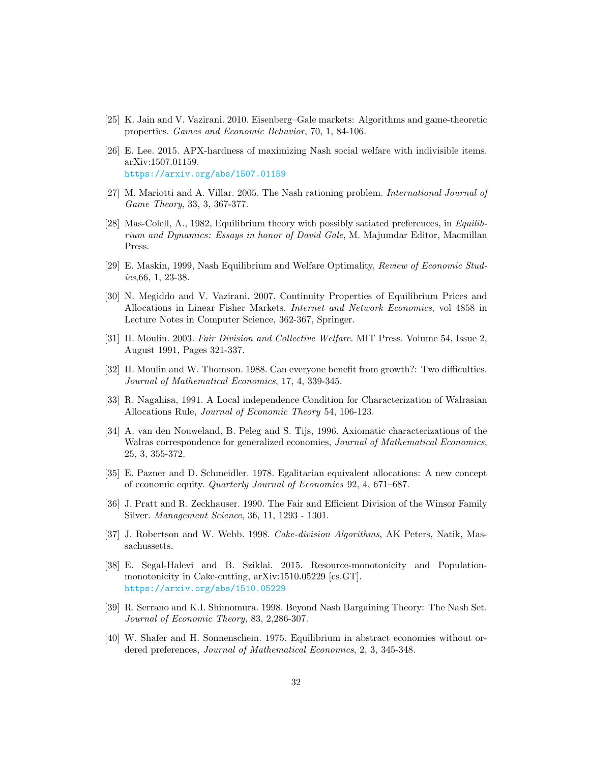- <span id="page-31-4"></span>[25] K. Jain and V. Vazirani. 2010. Eisenberg–Gale markets: Algorithms and game-theoretic properties. Games and Economic Behavior, 70, 1, 84-106.
- <span id="page-31-9"></span>[26] E. Lee. 2015. APX-hardness of maximizing Nash social welfare with indivisible items. arXiv:1507.01159. <https://arxiv.org/abs/1507.01159>
- <span id="page-31-13"></span>[27] M. Mariotti and A. Villar. 2005. The Nash rationing problem. International Journal of Game Theory, 33, 3, 367-377.
- <span id="page-31-3"></span>[28] Mas-Colell, A., 1982, Equilibrium theory with possibly satiated preferences, in Equilibrium and Dynamics: Essays in honor of David Gale, M. Majumdar Editor, Macmillan Press.
- <span id="page-31-15"></span>[29] E. Maskin, 1999, Nash Equilibrium and Welfare Optimality, Review of Economic Studies,66, 1, 23-38.
- <span id="page-31-8"></span>[30] N. Megiddo and V. Vazirani. 2007. Continuity Properties of Equilibrium Prices and Allocations in Linear Fisher Markets. Internet and Network Economics, vol 4858 in Lecture Notes in Computer Science, 362-367, Springer.
- <span id="page-31-7"></span>[31] H. Moulin. 2003. Fair Division and Collective Welfare. MIT Press. Volume 54, Issue 2, August 1991, Pages 321-337.
- <span id="page-31-14"></span>[32] H. Moulin and W. Thomson. 1988. Can everyone benefit from growth?: Two difficulties. Journal of Mathematical Economics, 17, 4, 339-345.
- <span id="page-31-10"></span>[33] R. Nagahisa, 1991. A Local independence Condition for Characterization of Walrasian Allocations Rule, Journal of Economic Theory 54, 106-123.
- <span id="page-31-12"></span>[34] A. van den Nouweland, B. Peleg and S. Tijs, 1996. Axiomatic characterizations of the Walras correspondence for generalized economies, *Journal of Mathematical Economics*, 25, 3, 355-372.
- <span id="page-31-1"></span>[35] E. Pazner and D. Schmeidler. 1978. Egalitarian equivalent allocations: A new concept of economic equity. Quarterly Journal of Economics 92, 4, 671–687.
- <span id="page-31-0"></span>[36] J. Pratt and R. Zeckhauser. 1990. The Fair and Efficient Division of the Winsor Family Silver. Management Science, 36, 11, 1293 - 1301.
- <span id="page-31-6"></span>[37] J. Robertson and W. Webb. 1998. Cake-division Algorithms, AK Peters, Natik, Massachussetts.
- <span id="page-31-5"></span>[38] E. Segal-Halevi and B. Sziklai. 2015. Resource-monotonicity and Populationmonotonicity in Cake-cutting, arXiv:1510.05229 [cs.GT]. <https://arxiv.org/abs/1510.05229>
- <span id="page-31-11"></span>[39] R. Serrano and K.I. Shimomura. 1998. Beyond Nash Bargaining Theory: The Nash Set. Journal of Economic Theory, 83, 2,286-307.
- <span id="page-31-2"></span>[40] W. Shafer and H. Sonnenschein. 1975. Equilibrium in abstract economies without ordered preferences, Journal of Mathematical Economics, 2, 3, 345-348.